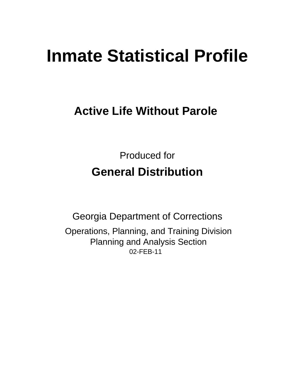# **Inmate Statistical Profile**

# **Active Life Without Parole**

**Produced for General Distribution** 

**Georgia Department of Corrections** Operations, Planning, and Training Division **Planning and Analysis Section** 02-FEB-11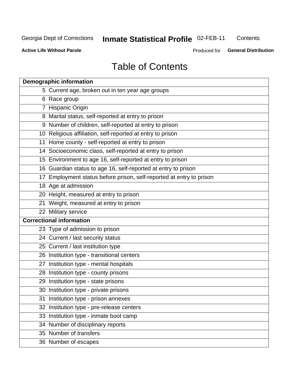# Inmate Statistical Profile 02-FEB-11

Contents

**Active Life Without Parole** 

Produced for General Distribution

# **Table of Contents**

| <b>Demographic information</b>                                       |
|----------------------------------------------------------------------|
| 5 Current age, broken out in ten year age groups                     |
| 6 Race group                                                         |
| 7 Hispanic Origin                                                    |
| 8 Marital status, self-reported at entry to prison                   |
| 9 Number of children, self-reported at entry to prison               |
| 10 Religious affiliation, self-reported at entry to prison           |
| 11 Home county - self-reported at entry to prison                    |
| 14 Socioeconomic class, self-reported at entry to prison             |
| 15 Environment to age 16, self-reported at entry to prison           |
| 16 Guardian status to age 16, self-reported at entry to prison       |
| 17 Employment status before prison, self-reported at entry to prison |
| 18 Age at admission                                                  |
| 20 Height, measured at entry to prison                               |
| 21 Weight, measured at entry to prison                               |
| 22 Military service                                                  |
| <b>Correctional information</b>                                      |
| 23 Type of admission to prison                                       |
| 24 Current / last security status                                    |
| 25 Current / last institution type                                   |
| 26 Institution type - transitional centers                           |
| 27 Institution type - mental hospitals                               |
| 28 Institution type - county prisons                                 |
| 29 Institution type - state prisons                                  |
| 30 Institution type - private prisons                                |
| 31 Institution type - prison annexes                                 |
| 32 Institution type - pre-release centers                            |
| 33 Institution type - inmate boot camp                               |
| 34 Number of disciplinary reports                                    |
| 35 Number of transfers                                               |
| 36 Number of escapes                                                 |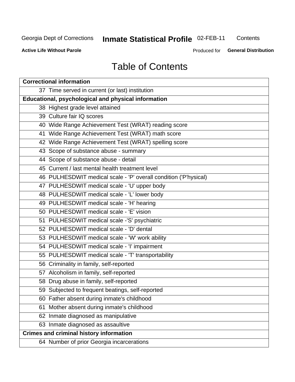# Inmate Statistical Profile 02-FEB-11

Contents

**Active Life Without Parole** 

Produced for **General Distribution** 

# **Table of Contents**

| <b>Correctional information</b>                                  |  |  |  |  |  |  |  |
|------------------------------------------------------------------|--|--|--|--|--|--|--|
| 37 Time served in current (or last) institution                  |  |  |  |  |  |  |  |
| Educational, psychological and physical information              |  |  |  |  |  |  |  |
| 38 Highest grade level attained                                  |  |  |  |  |  |  |  |
| 39 Culture fair IQ scores                                        |  |  |  |  |  |  |  |
| 40 Wide Range Achievement Test (WRAT) reading score              |  |  |  |  |  |  |  |
| 41 Wide Range Achievement Test (WRAT) math score                 |  |  |  |  |  |  |  |
| 42 Wide Range Achievement Test (WRAT) spelling score             |  |  |  |  |  |  |  |
| 43 Scope of substance abuse - summary                            |  |  |  |  |  |  |  |
| 44 Scope of substance abuse - detail                             |  |  |  |  |  |  |  |
| 45 Current / last mental health treatment level                  |  |  |  |  |  |  |  |
| 46 PULHESDWIT medical scale - 'P' overall condition ('P'hysical) |  |  |  |  |  |  |  |
| 47 PULHESDWIT medical scale - 'U' upper body                     |  |  |  |  |  |  |  |
| 48 PULHESDWIT medical scale - 'L' lower body                     |  |  |  |  |  |  |  |
| 49 PULHESDWIT medical scale - 'H' hearing                        |  |  |  |  |  |  |  |
| 50 PULHESDWIT medical scale - 'E' vision                         |  |  |  |  |  |  |  |
| 51 PULHESDWIT medical scale -'S' psychiatric                     |  |  |  |  |  |  |  |
| 52 PULHESDWIT medical scale - 'D' dental                         |  |  |  |  |  |  |  |
| 53 PULHESDWIT medical scale - 'W' work ability                   |  |  |  |  |  |  |  |
| 54 PULHESDWIT medical scale - 'I' impairment                     |  |  |  |  |  |  |  |
| 55 PULHESDWIT medical scale - 'T' transportability               |  |  |  |  |  |  |  |
| 56 Criminality in family, self-reported                          |  |  |  |  |  |  |  |
| 57 Alcoholism in family, self-reported                           |  |  |  |  |  |  |  |
| 58 Drug abuse in family, self-reported                           |  |  |  |  |  |  |  |
| 59 Subjected to frequent beatings, self-reported                 |  |  |  |  |  |  |  |
| 60 Father absent during inmate's childhood                       |  |  |  |  |  |  |  |
| Mother absent during inmate's childhood<br>61                    |  |  |  |  |  |  |  |
| 62 Inmate diagnosed as manipulative                              |  |  |  |  |  |  |  |
| 63 Inmate diagnosed as assaultive                                |  |  |  |  |  |  |  |
| <b>Crimes and criminal history information</b>                   |  |  |  |  |  |  |  |
| 64 Number of prior Georgia incarcerations                        |  |  |  |  |  |  |  |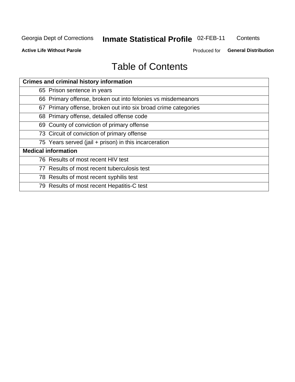# Inmate Statistical Profile 02-FEB-11

Contents

**Active Life Without Parole** 

Produced for General Distribution

# **Table of Contents**

| <b>Crimes and criminal history information</b>                 |
|----------------------------------------------------------------|
| 65 Prison sentence in years                                    |
| 66 Primary offense, broken out into felonies vs misdemeanors   |
| 67 Primary offense, broken out into six broad crime categories |
| 68 Primary offense, detailed offense code                      |
| 69 County of conviction of primary offense                     |
| 73 Circuit of conviction of primary offense                    |
| 75 Years served (jail + prison) in this incarceration          |
| <b>Medical information</b>                                     |
| 76 Results of most recent HIV test                             |
| 77 Results of most recent tuberculosis test                    |
| 78 Results of most recent syphilis test                        |
| 79 Results of most recent Hepatitis-C test                     |
|                                                                |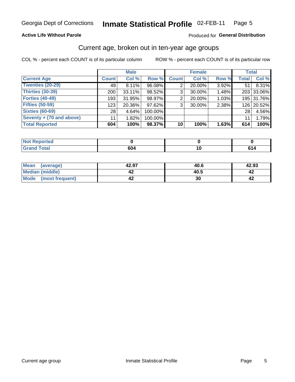#### Inmate Statistical Profile 02-FEB-11 Page 5

### **Active Life Without Parole**

### Produced for General Distribution

### Current age, broken out in ten-year age groups

COL % - percent each COUNT is of its particular column

|                          |                 | <b>Male</b> |         |              | <b>Female</b> |       |              | <b>Total</b> |
|--------------------------|-----------------|-------------|---------|--------------|---------------|-------|--------------|--------------|
| <b>Current Age</b>       | <b>Count</b>    | Col %       | Row %   | <b>Count</b> | Col %         | Row % | <b>Total</b> | Col %        |
| Twenties (20-29)         | 49              | 8.11%       | 96.08%  | 2            | 20.00%        | 3.92% | 51           | 8.31%        |
| Thirties (30-39)         | 200             | 33.11%      | 98.52%  | 3            | 30.00%        | 1.48% |              | 203 33.06%   |
| <b>Forties (40-49)</b>   | 193             | $31.95\%$   | 98.97%  | 2            | 20.00%        | 1.03% |              | 195 31.76%   |
| <b>Fifties (50-59)</b>   | 123             | 20.36%      | 97.62%  | 3            | 30.00%        | 2.38% |              | 126 20.52%   |
| <b>Sixties (60-69)</b>   | 28 <sub>1</sub> | 4.64%       | 100.00% |              |               |       | 28           | 4.56%        |
| Seventy + (70 and above) | 11              | 1.82%       | 100.00% |              |               |       | 11           | 1.79%        |
| <b>Total Reported</b>    | 604             | 100%        | 98.37%  | 10           | 100%          | 1.63% | 614          | 100%         |

| portea<br>NO.<br>$-11$ |     |  |
|------------------------|-----|--|
| υιαι<br>______         | 604 |  |

| <b>Mean</b><br>(average) | 42.97 | 40.6 | 42.93 |
|--------------------------|-------|------|-------|
| Median (middle)          | -14   | 40.5 | 44    |
| Mode<br>(most frequent)  | -14   | 30   | 4∡    |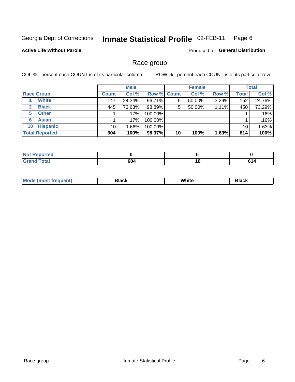#### Inmate Statistical Profile 02-FEB-11 Page 6

### **Active Life Without Parole**

**Produced for General Distribution** 

### Race group

COL % - percent each COUNT is of its particular column

|                              |              | <b>Male</b> |                    |    | <b>Female</b> |       |              | <b>Total</b> |
|------------------------------|--------------|-------------|--------------------|----|---------------|-------|--------------|--------------|
| <b>Race Group</b>            | <b>Count</b> | Col %       | <b>Row % Count</b> |    | Col %         | Row % | <b>Total</b> | Col %        |
| <b>White</b>                 | 147          | 24.34%      | 96.71%             | 5  | 50.00%        | 3.29% | 152          | 24.76%       |
| <b>Black</b><br>$\mathbf{2}$ | 445          | 73.68%      | 98.89%             | 5  | 50.00%        | 1.11% | 450          | 73.29%       |
| <b>Other</b><br>5.           |              | .17%        | 100.00%            |    |               |       |              | .16%         |
| <b>Asian</b><br>6            |              | .17%        | 100.00%            |    |               |       |              | .16%         |
| <b>Hispanic</b><br>10        | 10           | $1.66\%$    | 100.00%            |    |               |       | 10           | 1.63%        |
| <b>Total Reported</b>        | 604          | 100%        | 98.37%             | 10 | 100%          | 1.63% | 614          | 100%         |

| ∖rted        |             |    |     |
|--------------|-------------|----|-----|
| <b>Total</b> | 604<br>$ -$ | 10 | e a |

| M | .<br>w | Piasn |
|---|--------|-------|
|   |        |       |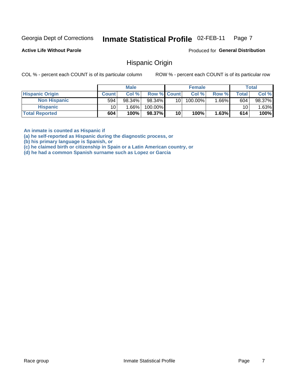#### Inmate Statistical Profile 02-FEB-11 Page 7

**Active Life Without Parole** 

Produced for General Distribution

### Hispanic Origin

COL % - percent each COUNT is of its particular column

ROW % - percent each COUNT is of its particular row

|                        |              | <b>Male</b> |                    |    | <b>Female</b> |          |         | <b>Total</b> |
|------------------------|--------------|-------------|--------------------|----|---------------|----------|---------|--------------|
| <b>Hispanic Origin</b> | <b>Count</b> | Col %       | <b>Row % Count</b> |    | Col %         | Row %    | Total I | Col %        |
| <b>Non Hispanic</b>    | 594          | 98.34%      | 98.34%             | 10 | 100.00%       | $1.66\%$ | 604     | 98.37%       |
| <b>Hispanic</b>        | 10           | $1.66\%$    | 100.00%            |    |               |          | 10      | .63%         |
| <b>Total Reported</b>  | 604          | 100%        | 98.37%             | 10 | 100%          | 1.63%    | 614     | 100%         |

An inmate is counted as Hispanic if

(a) he self-reported as Hispanic during the diagnostic process, or

(b) his primary language is Spanish, or

(c) he claimed birth or citizenship in Spain or a Latin American country, or

(d) he had a common Spanish surname such as Lopez or Garcia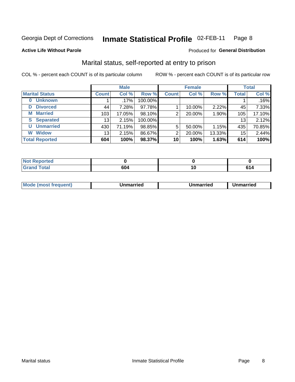#### Inmate Statistical Profile 02-FEB-11 Page 8

### **Active Life Without Parole**

### **Produced for General Distribution**

### Marital status, self-reported at entry to prison

COL % - percent each COUNT is of its particular column

|                            | <b>Male</b>     |         |         | <b>Female</b> |        |        | <b>Total</b>     |        |
|----------------------------|-----------------|---------|---------|---------------|--------|--------|------------------|--------|
| <b>Marital Status</b>      | <b>Count</b>    | Col %   | Row %   | <b>Count</b>  | Col %  | Row %  | <b>Total</b>     | Col %  |
| <b>Unknown</b><br>$\bf{0}$ |                 | $.17\%$ | 100.00% |               |        |        |                  | .16%   |
| <b>Divorced</b><br>D       | 44              | 7.28%   | 97.78%  |               | 10.00% | 2.22%  | 45               | 7.33%  |
| <b>Married</b><br>М        | 103             | 17.05%  | 98.10%  | 2             | 20.00% | 1.90%  | 105 <sub>1</sub> | 17.10% |
| <b>Separated</b><br>S      | 13 <sub>1</sub> | 2.15%   | 100.00% |               |        |        | 13               | 2.12%  |
| <b>Unmarried</b><br>U      | 430             | 71.19%  | 98.85%  | 5             | 50.00% | 1.15%  | 435              | 70.85% |
| <b>Widow</b><br>W          | 13              | 2.15%   | 86.67%  | 2             | 20.00% | 13.33% | 15               | 2.44%  |
| <b>Total Reported</b>      | 604             | 100%    | 98.37%  | 10            | 100%   | 1.63%  | 614              | 100%   |

| <b>Not Reported</b><br>. <b>.</b> |                               |     |     |
|-----------------------------------|-------------------------------|-----|-----|
| <b>Total</b>                      | CN <sub>4</sub><br><b>604</b> | IU. | r., |

|--|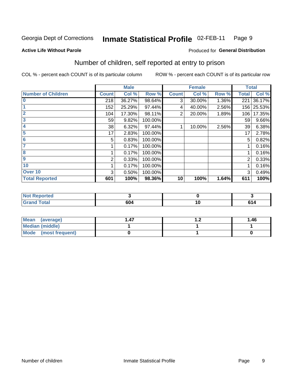#### Inmate Statistical Profile 02-FEB-11 Page 9

**Active Life Without Parole** 

### **Produced for General Distribution**

### Number of children, self reported at entry to prison

COL % - percent each COUNT is of its particular column

|                           |              | <b>Male</b> |         |                | <b>Female</b> |       | <b>Total</b> |        |
|---------------------------|--------------|-------------|---------|----------------|---------------|-------|--------------|--------|
| <b>Number of Children</b> | <b>Count</b> | Col %       | Row %   | <b>Count</b>   | Col %         | Row % | <b>Total</b> | Col %  |
| $\overline{\mathbf{0}}$   | 218          | 36.27%      | 98.64%  | 3              | 30.00%        | 1.36% | 221          | 36.17% |
|                           | 152          | 25.29%      | 97.44%  | 4              | 40.00%        | 2.56% | 156          | 25.53% |
| $\overline{2}$            | 104          | 17.30%      | 98.11%  | $\overline{2}$ | 20.00%        | 1.89% | 106          | 17.35% |
| 3                         | 59           | 9.82%       | 100.00% |                |               |       | 59           | 9.66%  |
| 4                         | 38           | 6.32%       | 97.44%  |                | 10.00%        | 2.56% | 39           | 6.38%  |
| 5                         | 17           | 2.83%       | 100.00% |                |               |       | 17           | 2.78%  |
| 6                         | 5            | 0.83%       | 100.00% |                |               |       | 5            | 0.82%  |
|                           |              | 0.17%       | 100.00% |                |               |       |              | 0.16%  |
| 8                         |              | 0.17%       | 100.00% |                |               |       |              | 0.16%  |
| 9                         | 2            | 0.33%       | 100.00% |                |               |       | 2            | 0.33%  |
| 10                        |              | 0.17%       | 100.00% |                |               |       |              | 0.16%  |
| Over 10                   | 3            | 0.50%       | 100.00% |                |               |       | 3            | 0.49%  |
| <b>Total Reported</b>     | 601          | 100%        | 98.36%  | 10             | 100%          | 1.64% | 611          | 100%   |

| rtea<br><b>INIA</b>                     |           |                 |
|-----------------------------------------|-----------|-----------------|
| $f \wedge f \wedge f$<br>υιαι<br>$\sim$ | --<br>0U4 | .<br>c.<br>- 14 |

| Mean<br>(average)       | . | 1.46 |
|-------------------------|---|------|
| Median (middle)         |   |      |
| Mode<br>(most frequent) |   |      |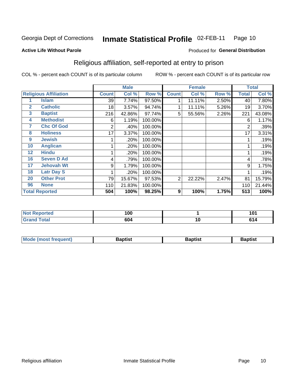#### Inmate Statistical Profile 02-FEB-11 Page 10

### **Active Life Without Parole**

### **Produced for General Distribution**

### Religious affiliation, self-reported at entry to prison

COL % - percent each COUNT is of its particular column

|              |                              |              | <b>Male</b> |         |                | <b>Female</b> |       |       | <b>Total</b> |
|--------------|------------------------------|--------------|-------------|---------|----------------|---------------|-------|-------|--------------|
|              | <b>Religious Affiliation</b> | <b>Count</b> | Col %       | Row %   | <b>Count</b>   | Col %         | Row % | Total | Col %        |
|              | <b>Islam</b>                 | 39           | 7.74%       | 97.50%  |                | 11.11%        | 2.50% | 40    | 7.80%        |
| $\mathbf{2}$ | <b>Catholic</b>              | 18           | 3.57%       | 94.74%  |                | 11.11%        | 5.26% | 19    | 3.70%        |
| 3            | <b>Baptist</b>               | 216          | 42.86%      | 97.74%  | 5              | 55.56%        | 2.26% | 221   | 43.08%       |
| 4            | <b>Methodist</b>             | 6            | 1.19%       | 100.00% |                |               |       | 6     | 1.17%        |
| 7            | <b>Chc Of God</b>            | 2            | .40%        | 100.00% |                |               |       | 2     | .39%         |
| 8            | <b>Holiness</b>              | 17           | 3.37%       | 100.00% |                |               |       | 17    | 3.31%        |
| 9            | <b>Jewish</b>                |              | .20%        | 100.00% |                |               |       |       | .19%         |
| 10           | <b>Anglican</b>              |              | .20%        | 100.00% |                |               |       |       | .19%         |
| 12           | <b>Hindu</b>                 |              | .20%        | 100.00% |                |               |       |       | .19%         |
| 16           | <b>Seven D Ad</b>            | 4            | .79%        | 100.00% |                |               |       | 4     | .78%         |
| 17           | <b>Jehovah Wt</b>            | 9            | 1.79%       | 100.00% |                |               |       | 9     | 1.75%        |
| 18           | <b>Latr Day S</b>            |              | .20%        | 100.00% |                |               |       |       | .19%         |
| 20           | <b>Other Prot</b>            | 79           | 15.67%      | 97.53%  | $\overline{2}$ | 22.22%        | 2.47% | 81    | 15.79%       |
| 96           | <b>None</b>                  | 110          | 21.83%      | 100.00% |                |               |       | 110   | 21.44%       |
|              | <b>Total Reported</b>        | 504          | 100%        | 98.25%  | 9              | 100%          | 1.75% | 513   | 100%         |

| ortea<br>$\overline{\mathbf{r}}$ | 100 |            | 404    |
|----------------------------------|-----|------------|--------|
| _____                            | 604 | <u>, u</u> | $\sim$ |

| <b>Mode (most frequent)</b> | Baptist | Baptist | <b>Baptist</b> |
|-----------------------------|---------|---------|----------------|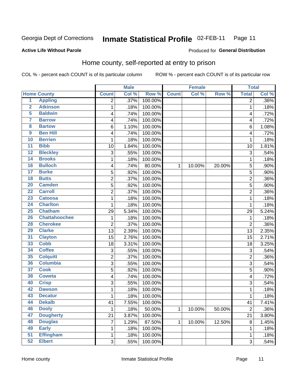#### Inmate Statistical Profile 02-FEB-11 Page 11

**Produced for General Distribution** 

### **Active Life Without Parole**

### Home county, self-reported at entry to prison

COL % - percent each COUNT is of its particular column

|                         |                      |                | <b>Male</b> |         |              | <b>Female</b> |        | <b>Total</b>   |         |
|-------------------------|----------------------|----------------|-------------|---------|--------------|---------------|--------|----------------|---------|
|                         | <b>Home County</b>   | <b>Count</b>   | Col %       | Row %   | <b>Count</b> | Col %         | Row %  | <b>Total</b>   | Col %   |
| $\overline{1}$          | <b>Appling</b>       | $\overline{2}$ | .37%        | 100.00% |              |               |        | $\overline{2}$ | $.36\%$ |
| $\overline{2}$          | <b>Atkinson</b>      | $\mathbf{1}$   | .18%        | 100.00% |              |               |        | 1              | .18%    |
| $\overline{5}$          | <b>Baldwin</b>       | 4              | .74%        | 100.00% |              |               |        | 4              | .72%    |
| $\overline{\mathbf{7}}$ | <b>Barrow</b>        | 4              | .74%        | 100.00% |              |               |        | 4              | .72%    |
| $\overline{\mathbf{8}}$ | <b>Bartow</b>        | 6              | 1.10%       | 100.00% |              |               |        | 6              | 1.08%   |
| $\overline{9}$          | <b>Ben Hill</b>      | 4              | .74%        | 100.00% |              |               |        | 4              | .72%    |
| 10                      | <b>Berrien</b>       | $\mathbf{1}$   | .18%        | 100.00% |              |               |        | 1              | .18%    |
| $\overline{11}$         | <b>Bibb</b>          | 10             | 1.84%       | 100.00% |              |               |        | 10             | 1.81%   |
| 12                      | <b>Bleckley</b>      | 3              | .55%        | 100.00% |              |               |        | 3              | .54%    |
| 14                      | <b>Brooks</b>        | $\mathbf 1$    | .18%        | 100.00% |              |               |        | 1              | .18%    |
| 16                      | <b>Bulloch</b>       | 4              | .74%        | 80.00%  | 1            | 10.00%        | 20.00% | 5              | .90%    |
| 17                      | <b>Burke</b>         | 5              | .92%        | 100.00% |              |               |        | 5              | .90%    |
| 18                      | <b>Butts</b>         | $\overline{c}$ | .37%        | 100.00% |              |               |        | $\overline{c}$ | .36%    |
| 20                      | <b>Camden</b>        | 5              | .92%        | 100.00% |              |               |        | 5              | .90%    |
| $\overline{22}$         | <b>Carroll</b>       | $\overline{2}$ | .37%        | 100.00% |              |               |        | $\overline{2}$ | .36%    |
| 23                      | <b>Catoosa</b>       | $\mathbf{1}$   | .18%        | 100.00% |              |               |        | 1              | .18%    |
| $\overline{24}$         | <b>Charlton</b>      | $\mathbf{1}$   | .18%        | 100.00% |              |               |        | 1              | .18%    |
| 25                      | <b>Chatham</b>       | 29             | 5.34%       | 100.00% |              |               |        | 29             | 5.24%   |
| 26                      | <b>Chattahoochee</b> | $\mathbf 1$    | .18%        | 100.00% |              |               |        | 1              | .18%    |
| 28                      | <b>Cherokee</b>      | $\overline{2}$ | .37%        | 100.00% |              |               |        | $\overline{2}$ | .36%    |
| 29                      | <b>Clarke</b>        | 13             | 2.39%       | 100.00% |              |               |        | 13             | 2.35%   |
| 31                      | <b>Clayton</b>       | 15             | 2.76%       | 100.00% |              |               |        | 15             | 2.71%   |
| 33                      | <b>Cobb</b>          | 18             | 3.31%       | 100.00% |              |               |        | 18             | 3.25%   |
| 34                      | <b>Coffee</b>        | 3              | .55%        | 100.00% |              |               |        | 3              | .54%    |
| 35                      | <b>Colquitt</b>      | $\overline{c}$ | .37%        | 100.00% |              |               |        | $\overline{c}$ | .36%    |
| 36                      | <b>Columbia</b>      | 3              | .55%        | 100.00% |              |               |        | 3              | .54%    |
| 37                      | <b>Cook</b>          | $\overline{5}$ | .92%        | 100.00% |              |               |        | 5              | .90%    |
| 38                      | <b>Coweta</b>        | 4              | .74%        | 100.00% |              |               |        | 4              | .72%    |
| 40                      | <b>Crisp</b>         | 3              | .55%        | 100.00% |              |               |        | 3              | .54%    |
| 42                      | <b>Dawson</b>        | $\mathbf{1}$   | .18%        | 100.00% |              |               |        | 1              | .18%    |
| 43                      | <b>Decatur</b>       | $\mathbf{1}$   | .18%        | 100.00% |              |               |        | 1              | .18%    |
| 44                      | <b>Dekalb</b>        | 41             | 7.55%       | 100.00% |              |               |        | 41             | 7.41%   |
| 46                      | <b>Dooly</b>         | $\mathbf{1}$   | .18%        | 50.00%  | $\mathbf{1}$ | 10.00%        | 50.00% | $\overline{c}$ | $.36\%$ |
| 47                      | <b>Dougherty</b>     | 21             | 3.87%       | 100.00% |              |               |        | 21             | 3.80%   |
| 48                      | <b>Douglas</b>       | $\overline{7}$ | 1.29%       | 87.50%  | 1            | 10.00%        | 12.50% | 8              | 1.45%   |
| 49                      | <b>Early</b>         | $\mathbf{1}$   | .18%        | 100.00% |              |               |        | 1              | .18%    |
| $\overline{51}$         | <b>Effingham</b>     | $\mathbf{1}$   | .18%        | 100.00% |              |               |        | 1              | .18%    |
| 52                      | <b>Elbert</b>        | 3              | .55%        | 100.00% |              |               |        | $\overline{3}$ | .54%    |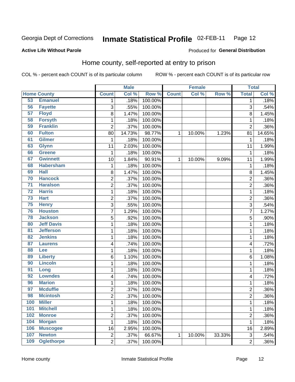#### Inmate Statistical Profile 02-FEB-11 Page 12

**Active Life Without Parole** 

### **Produced for General Distribution**

### Home county, self-reported at entry to prison

COL % - percent each COUNT is of its particular column

|                 |                    |                         | <b>Male</b> |         |              | <b>Female</b> |        | <b>Total</b>   |         |
|-----------------|--------------------|-------------------------|-------------|---------|--------------|---------------|--------|----------------|---------|
|                 | <b>Home County</b> | <b>Count</b>            | Col %       | Row %   | <b>Count</b> | Col%          | Row %  | <b>Total</b>   | Col %   |
| 53              | <b>Emanuel</b>     | $\mathbf 1$             | .18%        | 100.00% |              |               |        | 1              | .18%    |
| 56              | <b>Fayette</b>     | 3                       | .55%        | 100.00% |              |               |        | 3              | .54%    |
| 57              | <b>Floyd</b>       | 8                       | 1.47%       | 100.00% |              |               |        | 8              | 1.45%   |
| 58              | <b>Forsyth</b>     | $\mathbf 1$             | .18%        | 100.00% |              |               |        | 1              | .18%    |
| 59              | <b>Franklin</b>    | $\overline{2}$          | .37%        | 100.00% |              |               |        | $\overline{2}$ | .36%    |
| 60              | <b>Fulton</b>      | 80                      | 14.73%      | 98.77%  | 1            | 10.00%        | 1.23%  | 81             | 14.65%  |
| 61              | <b>Gilmer</b>      | 1                       | .18%        | 100.00% |              |               |        | 1              | .18%    |
| 63              | <b>Glynn</b>       | 11                      | 2.03%       | 100.00% |              |               |        | 11             | 1.99%   |
| 66              | <b>Greene</b>      | 1                       | .18%        | 100.00% |              |               |        | 1              | .18%    |
| 67              | <b>Gwinnett</b>    | 10                      | 1.84%       | 90.91%  | 1            | 10.00%        | 9.09%  | 11             | 1.99%   |
| 68              | <b>Habersham</b>   | $\mathbf 1$             | .18%        | 100.00% |              |               |        | 1              | .18%    |
| 69              | <b>Hall</b>        | 8                       | 1.47%       | 100.00% |              |               |        | 8              | 1.45%   |
| 70              | <b>Hancock</b>     | $\overline{2}$          | .37%        | 100.00% |              |               |        | $\overline{c}$ | .36%    |
| $\overline{71}$ | <b>Haralson</b>    | $\overline{c}$          | .37%        | 100.00% |              |               |        | $\overline{2}$ | .36%    |
| $\overline{72}$ | <b>Harris</b>      | $\mathbf{1}$            | .18%        | 100.00% |              |               |        | 1              | .18%    |
| $\overline{73}$ | <b>Hart</b>        | $\overline{c}$          | .37%        | 100.00% |              |               |        | $\overline{2}$ | .36%    |
| 75              | <b>Henry</b>       | 3                       | .55%        | 100.00% |              |               |        | 3              | .54%    |
| 76              | <b>Houston</b>     | 7                       | 1.29%       | 100.00% |              |               |        | 7              | 1.27%   |
| 78              | <b>Jackson</b>     | 5                       | .92%        | 100.00% |              |               |        | 5              | .90%    |
| 80              | <b>Jeff Davis</b>  | $\mathbf 1$             | .18%        | 100.00% |              |               |        | 1              | .18%    |
| $\overline{81}$ | <b>Jefferson</b>   | $\mathbf 1$             | .18%        | 100.00% |              |               |        | 1              | .18%    |
| 82              | <b>Jenkins</b>     | $\mathbf 1$             | .18%        | 100.00% |              |               |        | 1              | .18%    |
| 87              | <b>Laurens</b>     | 4                       | .74%        | 100.00% |              |               |        | 4              | .72%    |
| 88              | Lee                | $\mathbf 1$             | .18%        | 100.00% |              |               |        | 1              | .18%    |
| 89              | <b>Liberty</b>     | 6                       | 1.10%       | 100.00% |              |               |        | 6              | 1.08%   |
| 90              | <b>Lincoln</b>     | $\mathbf 1$             | .18%        | 100.00% |              |               |        | 1              | .18%    |
| 91              | Long               | $\mathbf 1$             | .18%        | 100.00% |              |               |        | 1              | .18%    |
| 92              | <b>Lowndes</b>     | 4                       | .74%        | 100.00% |              |               |        | 4              | .72%    |
| 96              | <b>Marion</b>      | $\mathbf 1$             | .18%        | 100.00% |              |               |        | 1              | .18%    |
| 97              | <b>Mcduffie</b>    | $\overline{\mathbf{c}}$ | .37%        | 100.00% |              |               |        | $\overline{c}$ | .36%    |
| 98              | <b>Mcintosh</b>    | $\overline{2}$          | .37%        | 100.00% |              |               |        | $\overline{c}$ | $.36\%$ |
| 100             | <b>Miller</b>      | 1                       | .18%        | 100.00% |              |               |        | 1              | .18%    |
| 101             | <b>Mitchell</b>    | $\mathbf 1$             | .18%        | 100.00% |              |               |        | 1              | .18%    |
| 102             | <b>Monroe</b>      | $\overline{c}$          | .37%        | 100.00% |              |               |        | $\overline{c}$ | .36%    |
| 104             | <b>Morgan</b>      | $\mathbf{1}$            | .18%        | 100.00% |              |               |        | 1              | .18%    |
| 106             | <b>Muscogee</b>    | 16                      | 2.95%       | 100.00% |              |               |        | 16             | 2.89%   |
| 107             | <b>Newton</b>      | $\overline{c}$          | .37%        | 66.67%  | $\mathbf 1$  | 10.00%        | 33.33% | 3              | .54%    |
| 109             | <b>Oglethorpe</b>  | $\overline{2}$          | .37%        | 100.00% |              |               |        | $\overline{c}$ | .36%    |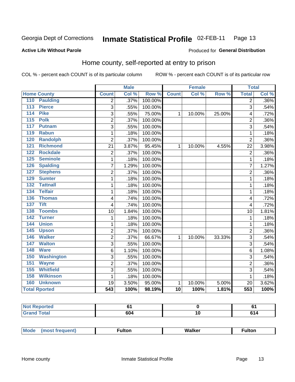#### Inmate Statistical Profile 02-FEB-11 Page 13

### **Active Life Without Parole**

### **Produced for General Distribution**

### Home county, self-reported at entry to prison

COL % - percent each COUNT is of its particular column

|                          |                  | <b>Male</b> |         |                 | <b>Female</b> |        | <b>Total</b>   |       |
|--------------------------|------------------|-------------|---------|-----------------|---------------|--------|----------------|-------|
| <b>Home County</b>       | <b>Count</b>     | Col %       | Row %   | <b>Count</b>    | Col %         | Row %  | <b>Total</b>   | Col % |
| 110<br><b>Paulding</b>   | 2                | .37%        | 100.00% |                 |               |        | $\overline{2}$ | .36%  |
| 113<br><b>Pierce</b>     | $\overline{3}$   | .55%        | 100.00% |                 |               |        | $\overline{3}$ | .54%  |
| <b>Pike</b><br>114       | 3                | .55%        | 75.00%  | $\mathbf{1}$    | 10.00%        | 25.00% | 4              | .72%  |
| 115<br><b>Polk</b>       | $\overline{2}$   | .37%        | 100.00% |                 |               |        | $\overline{2}$ | .36%  |
| 117<br><b>Putnam</b>     | 3                | .55%        | 100.00% |                 |               |        | 3              | .54%  |
| <b>Rabun</b><br>119      | 1                | .18%        | 100.00% |                 |               |        | 1              | .18%  |
| <b>Randolph</b><br>120   | $\overline{2}$   | .37%        | 100.00% |                 |               |        | $\overline{2}$ | .36%  |
| <b>Richmond</b><br>121   | 21               | 3.87%       | 95.45%  | 1               | 10.00%        | 4.55%  | 22             | 3.98% |
| <b>Rockdale</b><br>122   | $\overline{2}$   | .37%        | 100.00% |                 |               |        | $\overline{2}$ | .36%  |
| 125<br><b>Seminole</b>   | $\mathbf{1}$     | .18%        | 100.00% |                 |               |        | 1              | .18%  |
| 126<br><b>Spalding</b>   | $\overline{7}$   | 1.29%       | 100.00% |                 |               |        | 7              | 1.27% |
| <b>Stephens</b><br>127   | 2                | .37%        | 100.00% |                 |               |        | $\overline{2}$ | .36%  |
| 129<br><b>Sumter</b>     | 1                | .18%        | 100.00% |                 |               |        | 1              | .18%  |
| <b>Tattnall</b><br>132   | $\mathbf 1$      | .18%        | 100.00% |                 |               |        | 1              | .18%  |
| <b>Telfair</b><br>134    | 1                | .18%        | 100.00% |                 |               |        | 1              | .18%  |
| 136<br><b>Thomas</b>     | 4                | .74%        | 100.00% |                 |               |        | $\overline{4}$ | .72%  |
| <b>Tift</b><br>137       | 4                | .74%        | 100.00% |                 |               |        | $\overline{4}$ | .72%  |
| <b>Toombs</b><br>138     | 10               | 1.84%       | 100.00% |                 |               |        | 10             | 1.81% |
| <b>Turner</b><br>142     | 1                | .18%        | 100.00% |                 |               |        | 1              | .18%  |
| <b>Union</b><br>144      | 1                | .18%        | 100.00% |                 |               |        | 1              | .18%  |
| 145<br><b>Upson</b>      | $\overline{c}$   | .37%        | 100.00% |                 |               |        | $\overline{2}$ | .36%  |
| <b>Walker</b><br>146     | 2                | .37%        | 66.67%  | 1               | 10.00%        | 33.33% | 3              | .54%  |
| <b>Walton</b><br>147     | 3                | .55%        | 100.00% |                 |               |        | 3              | .54%  |
| 148<br><b>Ware</b>       | 6                | 1.10%       | 100.00% |                 |               |        | 6              | 1.08% |
| <b>Washington</b><br>150 | 3                | .55%        | 100.00% |                 |               |        | 3              | .54%  |
| 151<br><b>Wayne</b>      | 2                | .37%        | 100.00% |                 |               |        | $\overline{2}$ | .36%  |
| <b>Whitfield</b><br>155  | $\overline{3}$   | .55%        | 100.00% |                 |               |        | 3              | .54%  |
| <b>Wilkinson</b><br>158  | $\mathbf{1}$     | .18%        | 100.00% |                 |               |        | 1              | .18%  |
| 160<br><b>Unknown</b>    | 19               | 3.50%       | 95.00%  | $\mathbf{1}$    | 10.00%        | 5.00%  | 20             | 3.62% |
| <b>Total Rported</b>     | $\overline{543}$ | 100%        | 98.19%  | $\overline{10}$ | 100%          | 1.81%  | 553            | 100%  |

| Reported<br>' NOT<br>$\sim$ |     |    | v  |
|-----------------------------|-----|----|----|
| <b>Total</b>                | 604 | ιu | rΔ |

| <b>Mode</b><br>Walker<br>ulton<br>ulton.<br>nos |
|-------------------------------------------------|
|-------------------------------------------------|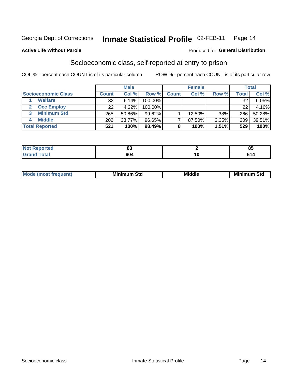#### Inmate Statistical Profile 02-FEB-11 Page 14

### **Active Life Without Parole**

### Produced for General Distribution

### Socioeconomic class, self-reported at entry to prison

COL % - percent each COUNT is of its particular column

|                       |         | <b>Male</b> |           |              | <b>Female</b> |       |                  | <b>Total</b> |
|-----------------------|---------|-------------|-----------|--------------|---------------|-------|------------------|--------------|
| Socioeconomic Class   | Count l | Col %       | Row %     | <b>Count</b> | Col %         | Row % | $\mathsf{Total}$ | Col %        |
| <b>Welfare</b>        | 32      | 6.14%       | 100.00%   |              |               |       | 32               | 6.05%        |
| <b>Occ Employ</b>     | 22      | 4.22%       | 100.00%   |              |               |       | 22               | 4.16%        |
| <b>Minimum Std</b>    | 265     | 50.86%      | $99.62\%$ |              | $12.50\%$     | .38%  | 266              | 50.28%       |
| <b>Middle</b>         | 202     | 38.77%      | 96.65%    |              | 87.50%        | 3.35% | 209              | 39.51%       |
| <b>Total Reported</b> | 521     | 100%        | 98.49%    |              | 100%          | 1.51% | 529              | 100%         |

| <b>College College</b> | n.          |        | 0E           |
|------------------------|-------------|--------|--------------|
| N                      | oJ          |        | u.           |
| _____                  | 604<br>$ -$ | $\sim$ | . .<br>- - - |

|  |  | M<br>.ienti | Minim<br>Std<br>---- | <b>Middle</b> | <b>Minimum</b><br>Std |
|--|--|-------------|----------------------|---------------|-----------------------|
|--|--|-------------|----------------------|---------------|-----------------------|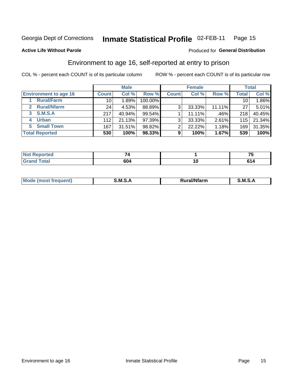#### Inmate Statistical Profile 02-FEB-11 Page 15

Produced for General Distribution

### **Active Life Without Parole**

### Environment to age 16, self-reported at entry to prison

COL % - percent each COUNT is of its particular column

|                                    |              | <b>Male</b> |         |                | <b>Female</b> |        |                 | <b>Total</b> |
|------------------------------------|--------------|-------------|---------|----------------|---------------|--------|-----------------|--------------|
| <b>Environment to age 16</b>       | <b>Count</b> | Col %       | Row %   | <b>Count</b>   | Col %         | Row %  | Total           | Col %        |
| <b>Rural/Farm</b>                  | 10           | 1.89%       | 100.00% |                |               |        | 10 <sub>1</sub> | 1.86%        |
| <b>Rural/Nfarm</b><br>$\mathbf{2}$ | 24           | 4.53%       | 88.89%  | 3              | 33.33%        | 11.11% | 27              | 5.01%        |
| 3 S.M.S.A                          | 217          | 40.94%      | 99.54%  |                | 11.11%        | .46%   | 218             | 40.45%       |
| <b>Urban</b><br>4                  | 112          | 21.13%      | 97.39%  | 3 <sub>1</sub> | 33.33%        | 2.61%  | 115             | 21.34%       |
| 5 Small Town                       | 167          | 31.51%      | 98.82%  | 2              | 22.22%        | 1.18%  | 169             | 31.35%       |
| <b>Total Reported</b>              | 530          | 100%        | 98.33%  | 9              | 100%          | 1.67%  | 539             | 100%         |

|                                                   |         |    | -- |
|---------------------------------------------------|---------|----|----|
| السابق سائل<br>$\sim$ $\sim$ $\sim$ $\sim$ $\sim$ | <br>604 | ιv |    |

| Mo | M | .<br>----<br>יarm. | M |
|----|---|--------------------|---|
|    |   |                    |   |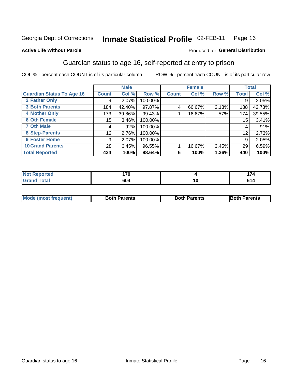#### Inmate Statistical Profile 02-FEB-11 Page 16

### **Active Life Without Parole**

### Produced for General Distribution

### Guardian status to age 16, self-reported at entry to prison

COL % - percent each COUNT is of its particular column

|                                  |              | <b>Male</b> |         |              | <b>Female</b> |       |       | <b>Total</b> |
|----------------------------------|--------------|-------------|---------|--------------|---------------|-------|-------|--------------|
| <b>Guardian Status To Age 16</b> | <b>Count</b> | Col %       | Row %   | <b>Count</b> | Col %         | Row % | Total | Col %        |
| 2 Father Only                    | 9            | 2.07%       | 100.00% |              |               |       | 9     | 2.05%        |
| <b>3 Both Parents</b>            | 184          | 42.40%      | 97.87%  | 4            | 66.67%        | 2.13% | 188   | 42.73%       |
| <b>4 Mother Only</b>             | 173          | 39.86%      | 99.43%  |              | 16.67%        | .57%  | 174   | 39.55%       |
| <b>6 Oth Female</b>              | 15           | 3.46%       | 100.00% |              |               |       | 15    | 3.41%        |
| <b>7 Oth Male</b>                | 4            | .92%        | 100.00% |              |               |       | 4     | .91%         |
| 8 Step-Parents                   | 12           | 2.76%       | 100.00% |              |               |       | 12    | 2.73%        |
| <b>9 Foster Home</b>             | 9            | 2.07%       | 100.00% |              |               |       | 9     | 2.05%        |
| <b>10 Grand Parents</b>          | 28           | 6.45%       | 96.55%  |              | 16.67%        | 3.45% | 29    | 6.59%        |
| <b>Total Reported</b>            | 434          | 100%        | 98.64%  | 6            | 100%          | 1.36% | 440   | 100%         |

| <b>Not Reported</b> | 170 |    | $\rightarrow$ |
|---------------------|-----|----|---------------|
| <b>Grand Total</b>  | 604 | יי | ำ ⊿           |

| <b>Mode (most frequent)</b> | <b>Both Parents</b> | <b>Both Parents</b> | <b>Both Parents</b> |
|-----------------------------|---------------------|---------------------|---------------------|
|                             |                     |                     |                     |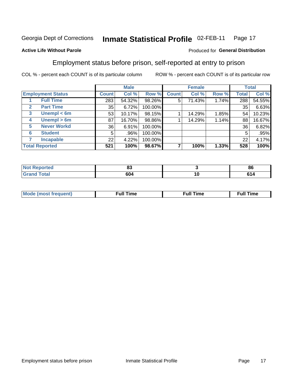#### Inmate Statistical Profile 02-FEB-11 Page 17

### **Active Life Without Parole**

### Produced for General Distribution

### Employment status before prison, self-reported at entry to prison

COL % - percent each COUNT is of its particular column

|                                  |         | <b>Male</b> |         |              | <b>Female</b> |       |                 | <b>Total</b> |
|----------------------------------|---------|-------------|---------|--------------|---------------|-------|-----------------|--------------|
| <b>Employment Status</b>         | Count l | Col %       | Row %   | <b>Count</b> | Col %         | Row % | Total           | Col %        |
| <b>Full Time</b>                 | 283     | 54.32%      | 98.26%  | 5            | 71.43%        | 1.74% | 288             | 54.55%       |
| <b>Part Time</b><br>$\mathbf{2}$ | 35      | 6.72%       | 100.00% |              |               |       | 35              | 6.63%        |
| Unempl $<$ 6m<br>$\mathbf{3}$    | 53      | 10.17%      | 98.15%  |              | 14.29%        | 1.85% | 54              | 10.23%       |
| Unempl > 6m<br>4                 | 87      | 16.70%      | 98.86%  |              | 14.29%        | 1.14% | 88              | 16.67%       |
| <b>Never Workd</b><br>5          | 36      | 6.91%       | 100.00% |              |               |       | 36 <sub>1</sub> | 6.82%        |
| <b>Student</b><br>6              | 5       | .96%        | 100.00% |              |               |       | 5               | .95%         |
| <b>Incapable</b>                 | 22      | 4.22%       | 100.00% |              |               |       | 22              | 4.17%        |
| <b>Total Reported</b>            | 521     | 100%        | 98.67%  |              | 100%          | 1.33% | 528             | 100%         |

| NO  | ۰.  | - - |
|-----|-----|-----|
| тео | υJ  | -86 |
|     | 604 | ı   |

| Mc | ∙u∥<br>----<br>ıme | ίuΙ<br>Πmε |
|----|--------------------|------------|
|    |                    |            |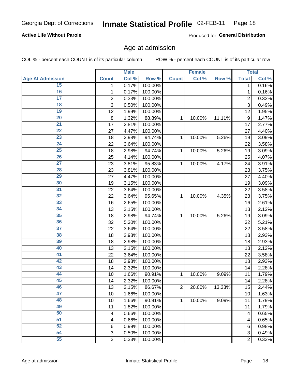#### Inmate Statistical Profile 02-FEB-11 Page 18

### **Active Life Without Parole**

Produced for General Distribution

### Age at admission

COL % - percent each COUNT is of its particular column

|                         |                | <b>Male</b> |         |                | <b>Female</b> |        |                  | <b>Total</b> |
|-------------------------|----------------|-------------|---------|----------------|---------------|--------|------------------|--------------|
| <b>Age At Admission</b> | <b>Count</b>   | Col %       | Row %   | <b>Count</b>   | Col %         | Row %  | <b>Total</b>     | Col %        |
| 15                      | 1              | 0.17%       | 100.00% |                |               |        | 1                | 0.16%        |
| 16                      | 1              | 0.17%       | 100.00% |                |               |        | 1                | 0.16%        |
| $\overline{17}$         | $\overline{c}$ | 0.33%       | 100.00% |                |               |        | $\overline{2}$   | 0.33%        |
| 18                      | 3              | 0.50%       | 100.00% |                |               |        | 3                | 0.49%        |
| 19                      | 12             | 1.99%       | 100.00% |                |               |        | 12               | 1.95%        |
| $\overline{20}$         | 8              | 1.32%       | 88.89%  | 1              | 10.00%        | 11.11% | $\boldsymbol{9}$ | 1.47%        |
| $\overline{21}$         | 17             | 2.81%       | 100.00% |                |               |        | 17               | 2.77%        |
| 22                      | 27             | 4.47%       | 100.00% |                |               |        | 27               | 4.40%        |
| 23                      | 18             | 2.98%       | 94.74%  | 1              | 10.00%        | 5.26%  | 19               | 3.09%        |
| $\overline{24}$         | 22             | 3.64%       | 100.00% |                |               |        | 22               | 3.58%        |
| $\overline{25}$         | 18             | 2.98%       | 94.74%  | 1              | 10.00%        | 5.26%  | 19               | 3.09%        |
| 26                      | 25             | 4.14%       | 100.00% |                |               |        | 25               | 4.07%        |
| $\overline{27}$         | 23             | 3.81%       | 95.83%  | 1              | 10.00%        | 4.17%  | 24               | 3.91%        |
| 28                      | 23             | 3.81%       | 100.00% |                |               |        | 23               | 3.75%        |
| 29                      | 27             | 4.47%       | 100.00% |                |               |        | 27               | 4.40%        |
| 30                      | 19             | 3.15%       | 100.00% |                |               |        | 19               | 3.09%        |
| 31                      | 22             | 3.64%       | 100.00% |                |               |        | 22               | 3.58%        |
| 32                      | 22             | 3.64%       | 95.65%  | 1              | 10.00%        | 4.35%  | 23               | 3.75%        |
| 33                      | 16             | 2.65%       | 100.00% |                |               |        | 16               | 2.61%        |
| 34                      | 13             | 2.15%       | 100.00% |                |               |        | 13               | 2.12%        |
| 35                      | 18             | 2.98%       | 94.74%  | 1              | 10.00%        | 5.26%  | 19               | 3.09%        |
| 36                      | 32             | 5.30%       | 100.00% |                |               |        | 32               | 5.21%        |
| $\overline{37}$         | 22             | 3.64%       | 100.00% |                |               |        | 22               | 3.58%        |
| 38                      | 18             | 2.98%       | 100.00% |                |               |        | 18               | 2.93%        |
| 39                      | 18             | 2.98%       | 100.00% |                |               |        | 18               | 2.93%        |
| 40                      | 13             | 2.15%       | 100.00% |                |               |        | 13               | 2.12%        |
| 41                      | 22             | 3.64%       | 100.00% |                |               |        | 22               | 3.58%        |
| 42                      | 18             | 2.98%       | 100.00% |                |               |        | 18               | 2.93%        |
| 43                      | 14             | 2.32%       | 100.00% |                |               |        | 14               | 2.28%        |
| 44                      | 10             | 1.66%       | 90.91%  | 1              | 10.00%        | 9.09%  | 11               | 1.79%        |
| 45                      | 14             | 2.32%       | 100.00% |                |               |        | 14               | 2.28%        |
| 46                      | 13             | 2.15%       | 86.67%  | $\overline{2}$ | 20.00%        | 13.33% | 15               | 2.44%        |
| 47                      | 10             | 1.66%       | 100.00% |                |               |        | 10               | 1.63%        |
| 48                      | 10             | 1.66%       | 90.91%  | 1              | 10.00%        | 9.09%  | 11               | 1.79%        |
| 49                      | 11             | 1.82%       | 100.00% |                |               |        | 11               | 1.79%        |
| 50                      | 4              | 0.66%       | 100.00% |                |               |        | 4                | 0.65%        |
| $\overline{51}$         | 4              | 0.66%       | 100.00% |                |               |        | 4                | 0.65%        |
| 52                      | 6              | 0.99%       | 100.00% |                |               |        | 6                | 0.98%        |
| 54                      | 3              | 0.50%       | 100.00% |                |               |        | 3                | 0.49%        |
| 55                      | $\overline{2}$ | 0.33%       | 100.00% |                |               |        | $\overline{2}$   | 0.33%        |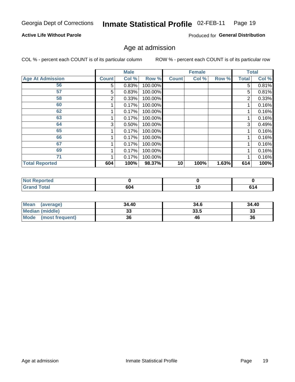#### Inmate Statistical Profile 02-FEB-11 Page 19

### **Active Life Without Parole**

Produced for General Distribution

### Age at admission

COL % - percent each COUNT is of its particular column

|                         |              | <b>Male</b> |         |              | <b>Female</b> |       |              | <b>Total</b> |
|-------------------------|--------------|-------------|---------|--------------|---------------|-------|--------------|--------------|
| <b>Age At Admission</b> | <b>Count</b> | Col %       | Row %   | <b>Count</b> | Col %         | Row % | <b>Total</b> | Col %        |
| 56                      | 5            | 0.83%       | 100.00% |              |               |       | 5            | 0.81%        |
| 57                      | 5            | 0.83%       | 100.00% |              |               |       | 5            | 0.81%        |
| 58                      | 2            | 0.33%       | 100.00% |              |               |       | 2            | 0.33%        |
| 60                      |              | 0.17%       | 100.00% |              |               |       |              | 0.16%        |
| 62                      |              | 0.17%       | 100.00% |              |               |       |              | 0.16%        |
| 63                      |              | 0.17%       | 100.00% |              |               |       |              | 0.16%        |
| 64                      | 3            | 0.50%       | 100.00% |              |               |       | 3            | 0.49%        |
| 65                      |              | 0.17%       | 100.00% |              |               |       |              | 0.16%        |
| 66                      |              | 0.17%       | 100.00% |              |               |       |              | 0.16%        |
| 67                      |              | 0.17%       | 100.00% |              |               |       |              | 0.16%        |
| 69                      |              | 0.17%       | 100.00% |              |               |       |              | 0.16%        |
| 71                      |              | 0.17%       | 100.00% |              |               |       |              | 0.16%        |
| <b>Total Reported</b>   | 604          | 100%        | 98.37%  | 10           | 100%          | 1.63% | 614          | 100%         |

| ported<br><b>NOT</b> |     |    |    |
|----------------------|-----|----|----|
| int1                 | 604 | טו | ıД |

| <b>Mean</b><br>(average)       | 34.40     | 34.6 | 34.40    |
|--------------------------------|-----------|------|----------|
| <b>Median (middle)</b>         | n n<br>აა | 33.5 | າາ<br>ند |
| <b>Mode</b><br>(most frequent) | 36        | 46   | 36       |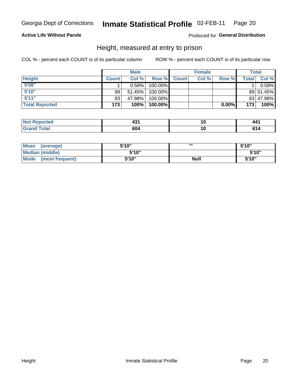#### Inmate Statistical Profile 02-FEB-11 Page 20

### **Active Life Without Parole**

### Produced for General Distribution

### Height, measured at entry to prison

COL % - percent each COUNT is of its particular column

|                       |              | <b>Male</b> |         |              | <b>Female</b> |          |              | Total     |
|-----------------------|--------------|-------------|---------|--------------|---------------|----------|--------------|-----------|
| <b>Height</b>         | <b>Count</b> | Col %       | Row %   | <b>Count</b> | Col %         | Row %    | <b>Total</b> | Col %     |
| 5'08''                |              | $0.58\%$    | 100.00% |              |               |          |              | 0.58%     |
| 5'10''                | 89           | 51.45%      | 100.00% |              |               |          |              | 89 51.45% |
| 5'11''                | 83           | 47.98%      | 100.00% |              |               |          |              | 83 47.98% |
| <b>Total Reported</b> | 173          | 100%        | 100.00% |              |               | $0.00\%$ | 173          | 100%      |

| <b>Not</b><br><b>orted</b><br>.kepor | ___ |  |
|--------------------------------------|-----|--|
| <b>Total</b><br>'Grand               | 604 |  |

| <b>Mean</b><br>(average)       | 5'10'' | ш           | 5'10" |
|--------------------------------|--------|-------------|-------|
| <b>Median (middle)</b>         | 5'10"  |             | 5'10" |
| <b>Mode</b><br>(most frequent) | 5'10'' | <b>Null</b> | 5'10" |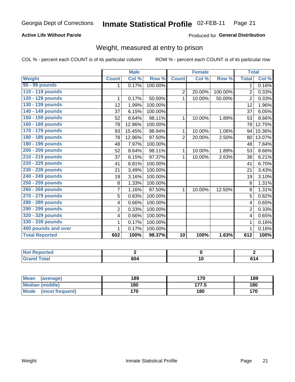#### Inmate Statistical Profile 02-FEB-11 Page 21

### **Active Life Without Parole**

### Produced for General Distribution

### Weight, measured at entry to prison

COL % - percent each COUNT is of its particular column

|                       |                | <b>Male</b> |         |                 | <b>Female</b> |         | <b>Total</b>   |        |
|-----------------------|----------------|-------------|---------|-----------------|---------------|---------|----------------|--------|
| Weight                | <b>Count</b>   | Col %       | Row %   | <b>Count</b>    | Col %         | Row %   | <b>Total</b>   | Col %  |
| 90 - 99 pounds        | 1              | 0.17%       | 100.00% |                 |               |         | 1              | 0.16%  |
| 110 - 119 pounds      |                |             |         | $\overline{2}$  | 20.00%        | 100.00% | $\overline{2}$ | 0.33%  |
| 120 - 129 pounds      | 1              | 0.17%       | 50.00%  | 1               | 10.00%        | 50.00%  | $\overline{2}$ | 0.33%  |
| 130 - 139 pounds      | 12             | 1.99%       | 100.00% |                 |               |         | 12             | 1.96%  |
| 140 - 149 pounds      | 37             | 6.15%       | 100.00% |                 |               |         | 37             | 6.05%  |
| 150 - 159 pounds      | 52             | 8.64%       | 98.11%  | 1               | 10.00%        | 1.89%   | 53             | 8.66%  |
| 160 - 169 pounds      | 78             | 12.96%      | 100.00% |                 |               |         | 78             | 12.75% |
| 170 - 179 pounds      | 93             | 15.45%      | 98.94%  | 1               | 10.00%        | 1.06%   | 94             | 15.36% |
| 180 - 189 pounds      | 78             | 12.96%      | 97.50%  | $\overline{2}$  | 20.00%        | 2.50%   | 80             | 13.07% |
| 190 - 199 pounds      | 48             | 7.97%       | 100.00% |                 |               |         | 48             | 7.84%  |
| 200 - 209 pounds      | 52             | 8.64%       | 98.11%  | 1               | 10.00%        | 1.89%   | 53             | 8.66%  |
| 210 - 219 pounds      | 37             | 6.15%       | 97.37%  | 1               | 10.00%        | 2.63%   | 38             | 6.21%  |
| 220 - 229 pounds      | 41             | 6.81%       | 100.00% |                 |               |         | 41             | 6.70%  |
| 230 - 239 pounds      | 21             | 3.49%       | 100.00% |                 |               |         | 21             | 3.43%  |
| 240 - 249 pounds      | 19             | 3.16%       | 100.00% |                 |               |         | 19             | 3.10%  |
| 250 - 259 pounds      | 8              | 1.33%       | 100.00% |                 |               |         | 8              | 1.31%  |
| 260 - 269 pounds      | $\overline{7}$ | 1.16%       | 87.50%  | 1               | 10.00%        | 12.50%  | 8              | 1.31%  |
| 270 - 279 pounds      | 5              | 0.83%       | 100.00% |                 |               |         | 5              | 0.82%  |
| 280 - 289 pounds      | 4              | 0.66%       | 100.00% |                 |               |         | 4              | 0.65%  |
| 290 - 299 pounds      | $\overline{2}$ | 0.33%       | 100.00% |                 |               |         | $\overline{2}$ | 0.33%  |
| 320 - 329 pounds      | 4              | 0.66%       | 100.00% |                 |               |         | 4              | 0.65%  |
| 330 - 339 pounds      | 1              | 0.17%       | 100.00% |                 |               |         |                | 0.16%  |
| 400 pounds and over   | 1              | 0.17%       | 100.00% |                 |               |         |                | 0.16%  |
| <b>Total Reported</b> | 602            | 100%        | 98.37%  | $\overline{10}$ | 100%          | 1.63%   | 612            | 100%   |

| <b>Not Reported</b>    |     |    |
|------------------------|-----|----|
| <b>Total</b><br>l Gran | 604 | 14 |

| <b>Mean</b><br>(average)       | 189 | 170   | 189 |
|--------------------------------|-----|-------|-----|
| <b>Median (middle)</b>         | 180 | 177.5 | 180 |
| <b>Mode</b><br>(most frequent) | 170 | 180   | 170 |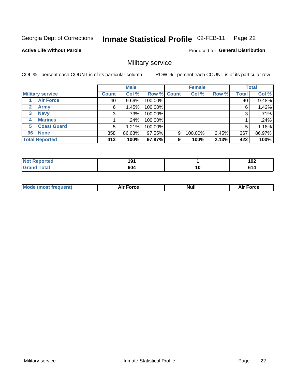#### Inmate Statistical Profile 02-FEB-11 Page 22

**Active Life Without Parole** 

Produced for General Distribution

### Military service

COL % - percent each COUNT is of its particular column

|                             |              | <b>Male</b> |             |   | <b>Female</b> |       |              | <b>Total</b> |
|-----------------------------|--------------|-------------|-------------|---|---------------|-------|--------------|--------------|
| <b>Military service</b>     | <b>Count</b> | Col %       | Row % Count |   | Col %         | Row % | <b>Total</b> | Col %        |
| <b>Air Force</b>            | 40           | 9.69%       | 100.00%     |   |               |       | 40           | 9.48%        |
| $\mathbf{2}$<br><b>Army</b> | 6            | 1.45%       | 100.00%     |   |               |       | 6            | 1.42%        |
| <b>Navy</b><br>3            | 3            | .73%        | 100.00%     |   |               |       | 3            | .71%         |
| <b>Marines</b><br>4         |              | $.24\%$     | 100.00%     |   |               |       |              | .24%         |
| <b>Coast Guard</b><br>5     | 5            | 1.21%       | 100.00%     |   |               |       | 5            | 1.18%        |
| <b>None</b><br>96           | 358          | 86.68%      | 97.55%      | 9 | 100.00%       | 2.45% | 367          | 86.97%       |
| <b>Total Reported</b>       | 413          | 100%        | 97.87%      | 9 | 100%          | 2.13% | 422          | 100%         |

| orted<br>N.          | 191 |    | ,<br>.<br>1 J 4   |
|----------------------|-----|----|-------------------|
| <b>otal</b><br>Grand | 604 | 10 | CA.<br><b>VI5</b> |

|  |  | <b>Mode</b><br>uent)<br>most tren | Force<br>Aır | <b>Null</b> | orce |
|--|--|-----------------------------------|--------------|-------------|------|
|--|--|-----------------------------------|--------------|-------------|------|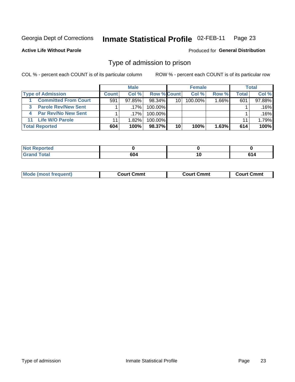#### Inmate Statistical Profile 02-FEB-11 Page 23

**Active Life Without Parole** 

Produced for General Distribution

### Type of admission to prison

COL % - percent each COUNT is of its particular column

|                                 |              | <b>Male</b> |                    |                 | <b>Female</b> |          |       | Total  |
|---------------------------------|--------------|-------------|--------------------|-----------------|---------------|----------|-------|--------|
| <b>Type of Admission</b>        | <b>Count</b> | Col %       | <b>Row % Count</b> |                 | Col %         | Row %    | Total | Col %  |
| <b>Committed From Court</b>     | 591          | $97.85\%$   | $98.34\%$          | 10 <sup>1</sup> | 100.00%       | $1.66\%$ | 601   | 97.88% |
| <b>Parole Rev/New Sent</b><br>3 |              | $.17\%$     | 100.00%            |                 |               |          |       | .16%   |
| <b>Par Rev/No New Sent</b>      |              | $.17\%$     | 100.00%            |                 |               |          |       | .16%   |
| 11 Life W/O Parole              | 11           | 1.82%       | 100.00%            |                 |               |          | 11    | 1.79%  |
| <b>Total Reported</b>           | 604          | 100%        | 98.37%             | 10              | 100%          | 1.63%    | 614   | 100%   |

| тео                                    |           |             |                         |
|----------------------------------------|-----------|-------------|-------------------------|
| $C = 4 - 7$<br><b>Company</b><br>_____ | <b>CO</b> | -<br>$\sim$ | $\sim$<br>$\sim$ $\sim$ |

| <b>Mode (most frequent)</b><br>Court Cmmt<br>Court Cmmt<br>Court Cmmt |
|-----------------------------------------------------------------------|
|-----------------------------------------------------------------------|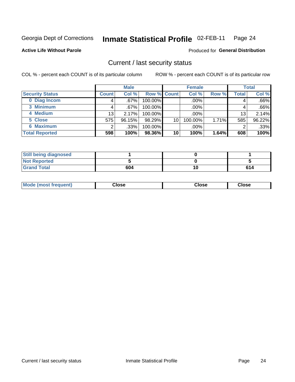#### Inmate Statistical Profile 02-FEB-11 Page 24

**Active Life Without Parole** 

**Produced for General Distribution** 

### Current / last security status

COL % - percent each COUNT is of its particular column

|                        |              | <b>Male</b> |             |    | <b>Female</b> |       |                 | <b>Total</b> |
|------------------------|--------------|-------------|-------------|----|---------------|-------|-----------------|--------------|
| <b>Security Status</b> | <b>Count</b> | Col %       | Row % Count |    | Col %         | Row % | Total           | Col %        |
| 0 Diag Incom           |              | .67%        | 100.00%     |    | .00%          |       | 4               | .66%         |
| 3 Minimum              |              | .67%        | $100.00\%$  |    | .00%          |       |                 | .66%         |
| 4 Medium               | 13           | 2.17%       | 100.00%     |    | .00%          |       | 13 <sub>1</sub> | 2.14%        |
| 5 Close                | 575          | 96.15%      | 98.29%      | 10 | 100.00%       | 1.71% | 585             | 96.22%       |
| 6 Maximum              | ◠            | .33%        | 100.00%     |    | .00%          |       | 2               | .33%         |
| <b>Total Reported</b>  | 598          | 100%        | 98.36%      | 10 | 100%          | 1.64% | 608             | 100%         |

| <b>Still being diagnosed</b> |     |     |
|------------------------------|-----|-----|
| <b>Not Reported</b>          |     |     |
| <b>Grand Total</b>           | 604 | 614 |

| Mode (most<br>Close<br>frequent)<br>Close<br>Close |
|----------------------------------------------------|
|----------------------------------------------------|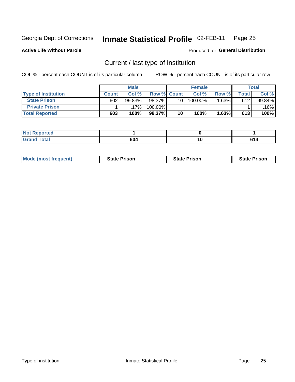#### Inmate Statistical Profile 02-FEB-11 Page 25

**Active Life Without Parole** 

Produced for General Distribution

### Current / last type of institution

COL % - percent each COUNT is of its particular column

|                            |              | <b>Male</b> |                    |                 | <b>Female</b> |        |               | <b>Total</b> |
|----------------------------|--------------|-------------|--------------------|-----------------|---------------|--------|---------------|--------------|
| <b>Type of Institution</b> | <b>Count</b> | Col %       | <b>Row % Count</b> |                 | Col %         | Row %  | $\tau$ otal i | Col %        |
| <b>State Prison</b>        | 602          | 99.83%      | 98.37%             | 10 <sub>1</sub> | 100.00%       | 1.63%∎ | 612           | 99.84%       |
| <b>Private Prison</b>      |              | 17%         | 100.00%            |                 |               |        |               | $.16\%$      |
| <b>Total Reported</b>      | 603          | 100%        | 98.37%             | 10              | 100%          | 1.63%  | 613           | 100%         |

| بالمراجع باللومين<br>τeα  |     |                       |  |
|---------------------------|-----|-----------------------|--|
| $int^{\infty}$<br>$- - -$ | 604 | $\overline{ }$<br>. v |  |

| <b>Mode (most frequent)</b> | <b>State Prison</b> | <b>State Prison</b> | <b>State Prison</b> |
|-----------------------------|---------------------|---------------------|---------------------|
|                             |                     |                     |                     |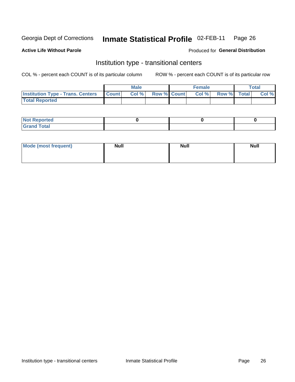#### Inmate Statistical Profile 02-FEB-11 Page 26

**Active Life Without Parole** 

### Produced for General Distribution

### Institution type - transitional centers

COL % - percent each COUNT is of its particular column

|                                                | Male  |                    | <b>Female</b> |                   | Total |
|------------------------------------------------|-------|--------------------|---------------|-------------------|-------|
| <b>Institution Type - Trans. Centers Count</b> | Col % | <b>Row % Count</b> |               | Col % Row % Total | Col % |
| <b>Total Reported</b>                          |       |                    |               |                   |       |

| <b>Reported</b><br><b>NOT</b><br>$\sim$            |  |  |
|----------------------------------------------------|--|--|
| $f$ $f \circ f \circ f$<br>$C = 1$<br><b>TULAI</b> |  |  |

| Mode (most frequent) | <b>Null</b> | <b>Null</b> | <b>Null</b> |
|----------------------|-------------|-------------|-------------|
|                      |             |             |             |
|                      |             |             |             |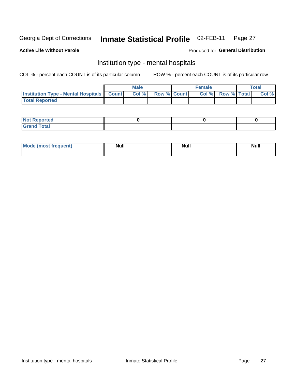#### Inmate Statistical Profile 02-FEB-11 Page 27

### **Active Life Without Parole**

### Produced for General Distribution

### Institution type - mental hospitals

COL % - percent each COUNT is of its particular column

|                                                  | Male |                    | <b>Female</b> |                   | <b>Total</b> |
|--------------------------------------------------|------|--------------------|---------------|-------------------|--------------|
| <b>Institution Type - Mental Hospitals Count</b> | Col% | <b>Row % Count</b> |               | Col % Row % Total | Col %        |
| <b>Total Reported</b>                            |      |                    |               |                   |              |

| <b>Not Reported</b>                     |  |  |
|-----------------------------------------|--|--|
| <b>otal</b><br>C <sub>r</sub><br>______ |  |  |

| Mode.<br>frequent) | <b>Nul</b><br>_____ | <b>Null</b> | <b>Null</b> |
|--------------------|---------------------|-------------|-------------|
|                    |                     |             |             |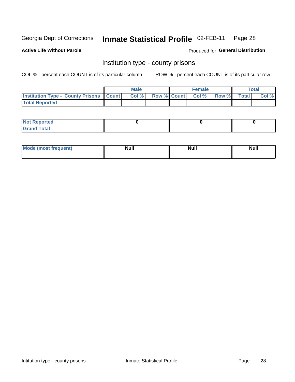#### Inmate Statistical Profile 02-FEB-11 Page 28

**Active Life Without Parole** 

Produced for General Distribution

### Institution type - county prisons

COL % - percent each COUNT is of its particular column

|                                                    | <b>Male</b> |                          | <b>Female</b> |             | <b>Total</b> |
|----------------------------------------------------|-------------|--------------------------|---------------|-------------|--------------|
| <b>Institution Type - County Prisons   Count  </b> | Col %       | <b>Row % Count Col %</b> |               | Row % Total | Col %        |
| <b>Total Reported</b>                              |             |                          |               |             |              |

| <b>Not Reported</b>         |  |  |
|-----------------------------|--|--|
| <b>Total</b><br>-<br>______ |  |  |

| <b>Mode</b>      | <b>Null</b> | <b>Null</b> | <b>Null</b> |  |
|------------------|-------------|-------------|-------------|--|
| (most freauent). |             |             |             |  |
|                  |             |             |             |  |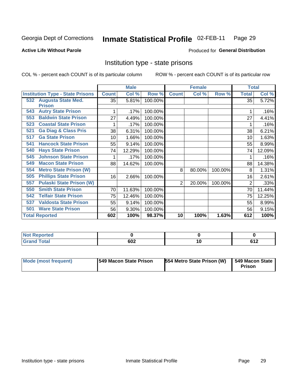#### Inmate Statistical Profile 02-FEB-11 Page 29

### **Active Life Without Parole**

### Produced for General Distribution

### Institution type - state prisons

COL % - percent each COUNT is of its particular column

|                                         |              | <b>Male</b> |         |              | <b>Female</b> |         | <b>Total</b> |        |
|-----------------------------------------|--------------|-------------|---------|--------------|---------------|---------|--------------|--------|
| <b>Institution Type - State Prisons</b> | <b>Count</b> | Col %       | Row %   | <b>Count</b> | Col %         | Row %   | <b>Total</b> | Col %  |
| <b>Augusta State Med.</b><br>532        | 35           | 5.81%       | 100.00% |              |               |         | 35           | 5.72%  |
| <b>Prison</b>                           |              |             |         |              |               |         |              |        |
| <b>Autry State Prison</b><br>543        |              | .17%        | 100.00% |              |               |         |              | .16%   |
| <b>Baldwin State Prison</b><br>553      | 27           | 4.49%       | 100.00% |              |               |         | 27           | 4.41%  |
| <b>Coastal State Prison</b><br>523      |              | .17%        | 100.00% |              |               |         |              | .16%   |
| <b>Ga Diag &amp; Class Pris</b><br>521  | 38           | 6.31%       | 100.00% |              |               |         | 38           | 6.21%  |
| <b>Ga State Prison</b><br>517           | 10           | 1.66%       | 100.00% |              |               |         | 10           | 1.63%  |
| <b>Hancock State Prison</b><br>541      | 55           | 9.14%       | 100.00% |              |               |         | 55           | 8.99%  |
| <b>Hays State Prison</b><br>540         | 74           | 12.29%      | 100.00% |              |               |         | 74           | 12.09% |
| <b>Johnson State Prison</b><br>545      |              | .17%        | 100.00% |              |               |         |              | .16%   |
| <b>Macon State Prison</b><br>549        | 88           | 14.62%      | 100.00% |              |               |         | 88           | 14.38% |
| <b>Metro State Prison (W)</b><br>554    |              |             |         | 8            | 80.00%        | 100.00% | 8            | 1.31%  |
| <b>Phillips State Prison</b><br>505     | 16           | 2.66%       | 100.00% |              |               |         | 16           | 2.61%  |
| <b>Pulaski State Prison (W)</b><br>557  |              |             |         | 2            | 20.00%        | 100.00% | 2            | .33%   |
| <b>Smith State Prison</b><br>550        | 70           | 11.63%      | 100.00% |              |               |         | 70           | 11.44% |
| <b>Telfair State Prison</b><br>542      | 75           | 12.46%      | 100.00% |              |               |         | 75           | 12.25% |
| <b>Valdosta State Prison</b><br>537     | 55           | 9.14%       | 100.00% |              |               |         | 55           | 8.99%  |
| <b>Ware State Prison</b><br>501         | 56           | 9.30%       | 100.00% |              |               |         | 56           | 9.15%  |
| <b>Total Reported</b>                   | 602          | 100%        | 98.37%  | 10           | 100%          | 1.63%   | 612          | 100%   |

| <b>Reported</b><br><b>NOT</b><br>$\sim$ |     |                          |
|-----------------------------------------|-----|--------------------------|
| <b>Total</b>                            | 602 | .est-<br><b></b><br>$ -$ |

| <b>Mode (most frequent)</b> | <b>1549 Macon State Prison</b> | 554 Metro State Prison (W) | $\overline{549}$ Macon State<br><b>Prison</b> |
|-----------------------------|--------------------------------|----------------------------|-----------------------------------------------|
|-----------------------------|--------------------------------|----------------------------|-----------------------------------------------|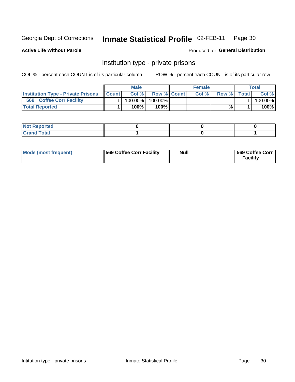#### Inmate Statistical Profile 02-FEB-11 Page 30

**Active Life Without Parole** 

Produced for General Distribution

### Institution type - private prisons

COL % - percent each COUNT is of its particular column

|                                                     | <b>Male</b> |                    | <b>Female</b> |       |              | Total   |
|-----------------------------------------------------|-------------|--------------------|---------------|-------|--------------|---------|
| <b>Institution Type - Private Prisons   Count  </b> | Col%        | <b>Row % Count</b> | Col %         | Row % | <b>Total</b> | Col %   |
| 569<br><b>Coffee Corr Facility</b>                  | 100.00%     | 100.00%            |               |       |              | 100.00% |
| <b>Total Reported</b>                               | $100\%$     | $100\%$            |               | %     |              | 100%    |

| Not Reported |  |  |
|--------------|--|--|
|              |  |  |

| Mode (most frequent) | 569 Coffee Corr Facility | <b>Null</b> | 569 Coffee Corr<br><b>Facility</b> |
|----------------------|--------------------------|-------------|------------------------------------|
|----------------------|--------------------------|-------------|------------------------------------|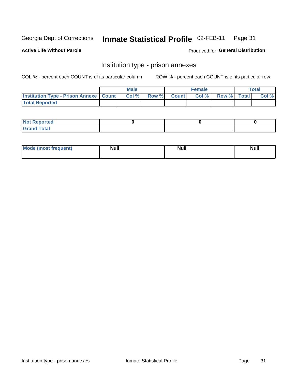#### Inmate Statistical Profile 02-FEB-11 Page 31

**Active Life Without Parole** 

Produced for General Distribution

### Institution type - prison annexes

COL % - percent each COUNT is of its particular column

|                                                   | <b>Male</b> |              |       | <b>Female</b> |                    | <b>Total</b> |
|---------------------------------------------------|-------------|--------------|-------|---------------|--------------------|--------------|
| <b>Institution Type - Prison Annexe   Count  </b> | Col %       | <b>Row %</b> | Count | Col %         | <b>Row %</b> Total | Col %        |
| <b>Total Reported</b>                             |             |              |       |               |                    |              |

| <b>Reported</b><br>I NOT                      |  |  |
|-----------------------------------------------|--|--|
| <b>Total</b><br>Carar<br>$\sim$ . When $\sim$ |  |  |

| $^{\prime}$ Mo <sub>t</sub><br>frequent)<br>⊥(mos* | <b>Null</b> | Noll<br><b>vull</b> | <b>Null</b> |
|----------------------------------------------------|-------------|---------------------|-------------|
|                                                    |             |                     |             |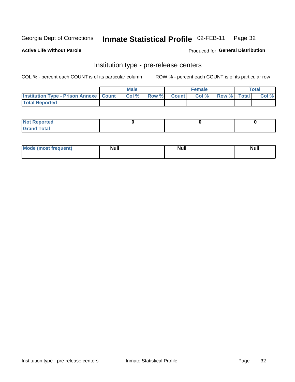#### Inmate Statistical Profile 02-FEB-11 Page 32

**Active Life Without Parole** 

Produced for General Distribution

## Institution type - pre-release centers

COL % - percent each COUNT is of its particular column

|                                                   | <b>Male</b> |              |       | <b>Female</b> |                    | <b>Total</b> |
|---------------------------------------------------|-------------|--------------|-------|---------------|--------------------|--------------|
| <b>Institution Type - Prison Annexe   Count  </b> | Col %       | <b>Row %</b> | Count | Col %         | <b>Row %</b> Total | Col %        |
| <b>Total Reported</b>                             |             |              |       |               |                    |              |

| <b>Reported</b><br>I NOT |  |  |
|--------------------------|--|--|
| <b>Total</b><br>$C$ ren  |  |  |

| <b>Mo</b><br>frequent)<br>(most | <b>Null</b> | <b>Null</b> | <b>Null</b> |
|---------------------------------|-------------|-------------|-------------|
|                                 |             |             |             |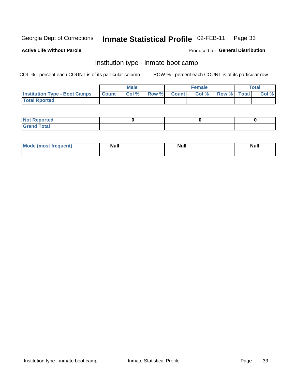#### Inmate Statistical Profile 02-FEB-11 Page 33

### **Active Life Without Parole**

### Produced for General Distribution

### Institution type - inmate boot camp

COL % - percent each COUNT is of its particular column

|                                            | <b>Male</b> |                    | <b>Female</b> |             | <b>Total</b> |
|--------------------------------------------|-------------|--------------------|---------------|-------------|--------------|
| <b>Institution Type - Boot Camps Count</b> | Col%        | <b>Row % Count</b> | Col%          | Row % Total | Col %        |
| <b>Total Rported</b>                       |             |                    |               |             |              |

| <b>Not Reported</b> |  |  |
|---------------------|--|--|
| <b>Total</b><br>Cro |  |  |

| <b>AhoM</b>       | <b>Null</b> | <b>Null</b> | Ab d' |
|-------------------|-------------|-------------|-------|
| <b>"requent</b> ) |             |             | _____ |
|                   |             |             |       |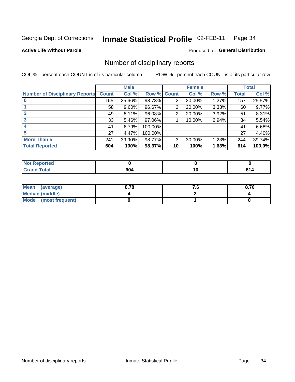#### Inmate Statistical Profile 02-FEB-11 Page 34

**Active Life Without Parole** 

**Produced for General Distribution** 

### Number of disciplinary reports

COL % - percent each COUNT is of its particular column

|                                       |              | <b>Male</b> |                    |    | <b>Female</b> |       |       | <b>Total</b> |
|---------------------------------------|--------------|-------------|--------------------|----|---------------|-------|-------|--------------|
| <b>Number of Disciplinary Reports</b> | <b>Count</b> | Col %       | <b>Row % Count</b> |    | Col %         | Row % | Total | Col %        |
|                                       | 155          | 25.66%      | 98.73%             | 2  | 20.00%        | 1.27% | 157   | 25.57%       |
|                                       | 58           | $9.60\%$    | 96.67%             | 2  | 20.00%        | 3.33% | 60    | 9.77%        |
|                                       | 49           | 8.11%       | 96.08%             | 2  | 20.00%        | 3.92% | 51    | 8.31%        |
| 3                                     | 33           | 5.46%       | 97.06%             |    | 10.00%        | 2.94% | 34    | 5.54%        |
|                                       | 41           | 6.79%       | 100.00%            |    |               |       | 41    | 6.68%        |
| 5                                     | 27           | 4.47%       | 100.00%            |    |               |       | 27    | 4.40%        |
| <b>More Than 5</b>                    | 241          | 39.90%      | 98.77%             | 3  | 30.00%        | 1.23% | 244   | 39.74%       |
| <b>Total Reported</b>                 | 604          | 100%        | 98.37%             | 10 | 100%          | 1.63% | 614   | 100.0%       |

| NO<br>teol |     |        |
|------------|-----|--------|
| Total      | 604 | $\sim$ |

| Mean (average)       | 8.78 | 8.76 |
|----------------------|------|------|
| Median (middle)      |      |      |
| Mode (most frequent) |      |      |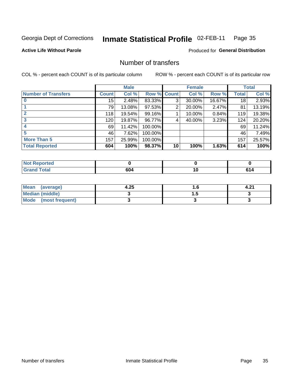#### Inmate Statistical Profile 02-FEB-11 Page 35

**Active Life Without Parole** 

**Produced for General Distribution** 

### Number of transfers

COL % - percent each COUNT is of its particular column

|                            |         | <b>Male</b> |         |              | <b>Female</b> |        |                 | <b>Total</b> |
|----------------------------|---------|-------------|---------|--------------|---------------|--------|-----------------|--------------|
| <b>Number of Transfers</b> | Count l | Col %       | Row %   | <b>Count</b> | Col %         | Row %  | <b>Total</b>    | Col %        |
|                            | 15      | 2.48%       | 83.33%  | 3            | 30.00%        | 16.67% | 18 <sub>1</sub> | 2.93%        |
|                            | 79      | 13.08%      | 97.53%  | 2            | 20.00%        | 2.47%  | 81              | 13.19%       |
|                            | 118     | 19.54%      | 99.16%  |              | 10.00%        | 0.84%  | 119             | 19.38%       |
| 3                          | 120     | 19.87%      | 96.77%  | 4            | 40.00%        | 3.23%  | 124             | 20.20%       |
|                            | 69      | 11.42%      | 100.00% |              |               |        | 69              | 11.24%       |
| 5                          | 46      | 7.62%       | 100.00% |              |               |        | 46              | 7.49%        |
| <b>More Than 5</b>         | 157     | 25.99%      | 100.00% |              |               |        | 157             | 25.57%       |
| <b>Total Reported</b>      | 604     | 100%        | 98.37%  | 10           | 100%          | 1.63%  | 614             | 100%         |

| prted<br>NOT      |            |    |  |
|-------------------|------------|----|--|
| <sup>-</sup> otal | rn.<br>0U4 | 10 |  |

| Mean (average)       | 4.25 | . . | 4.2. |
|----------------------|------|-----|------|
| Median (middle)      |      |     |      |
| Mode (most frequent) |      |     |      |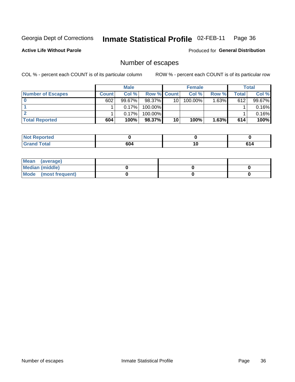#### Inmate Statistical Profile 02-FEB-11 Page 36

**Active Life Without Parole** 

Produced for General Distribution

### Number of escapes

COL % - percent each COUNT is of its particular column

|                          |              | <b>Male</b> |                    |    | <b>Female</b> |       |       | <b>Total</b> |
|--------------------------|--------------|-------------|--------------------|----|---------------|-------|-------|--------------|
| <b>Number of Escapes</b> | <b>Count</b> | Col%        | <b>Row % Count</b> |    | Col %         | Row % | Total | Col %        |
|                          | 602          | $99.67\%$   | 98.37% L           | 10 | $100.00\%$    | 1.63% | 612   | 99.67%       |
|                          |              | 0.17%       | $100.00\%$         |    |               |       |       | 0.16%        |
|                          |              | 0.17%       | 100.00%            |    |               |       |       | 0.16%        |
| <b>Total Reported</b>    | 604          | 100%        | 98.37%             | 10 | 100%          | 1.63% | 614   | 100%         |

| <b>Not Reported</b> |     |    |
|---------------------|-----|----|
| <b>Grand Total</b>  | 604 | си |

| Mean (average)       |  |  |
|----------------------|--|--|
| Median (middle)      |  |  |
| Mode (most frequent) |  |  |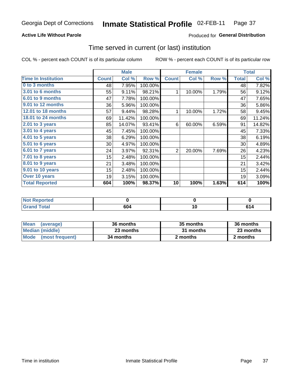## **Active Life Without Parole**

## Produced for General Distribution

## Time served in current (or last) institution

COL % - percent each COUNT is of its particular column

|                            |              | <b>Male</b> |         | <b>Female</b>  |        |       | <b>Total</b> |        |
|----------------------------|--------------|-------------|---------|----------------|--------|-------|--------------|--------|
| <b>Time In Institution</b> | <b>Count</b> | Col %       | Row %   | <b>Count</b>   | Col %  | Row % | <b>Total</b> | Col %  |
| 0 to 3 months              | 48           | 7.95%       | 100.00% |                |        |       | 48           | 7.82%  |
| <b>3.01 to 6 months</b>    | 55           | 9.11%       | 98.21%  | 1              | 10.00% | 1.79% | 56           | 9.12%  |
| 6.01 to 9 months           | 47           | 7.78%       | 100.00% |                |        |       | 47           | 7.65%  |
| 9.01 to 12 months          | 36           | 5.96%       | 100.00% |                |        |       | 36           | 5.86%  |
| 12.01 to 18 months         | 57           | 9.44%       | 98.28%  | 1              | 10.00% | 1.72% | 58           | 9.45%  |
| <b>18.01 to 24 months</b>  | 69           | 11.42%      | 100.00% |                |        |       | 69           | 11.24% |
| 2.01 to 3 years            | 85           | 14.07%      | 93.41%  | 6              | 60.00% | 6.59% | 91           | 14.82% |
| 3.01 to 4 years            | 45           | 7.45%       | 100.00% |                |        |       | 45           | 7.33%  |
| $4.01$ to 5 years          | 38           | 6.29%       | 100.00% |                |        |       | 38           | 6.19%  |
| 5.01 to 6 years            | 30           | 4.97%       | 100.00% |                |        |       | 30           | 4.89%  |
| 6.01 to 7 years            | 24           | 3.97%       | 92.31%  | $\overline{2}$ | 20.00% | 7.69% | 26           | 4.23%  |
| $7.01$ to 8 years          | 15           | 2.48%       | 100.00% |                |        |       | 15           | 2.44%  |
| 8.01 to 9 years            | 21           | 3.48%       | 100.00% |                |        |       | 21           | 3.42%  |
| 9.01 to 10 years           | 15           | 2.48%       | 100.00% |                |        |       | 15           | 2.44%  |
| Over 10 years              | 19           | 3.15%       | 100.00% |                |        |       | 19           | 3.09%  |
| <b>Total Reported</b>      | 604          | 100%        | 98.37%  | 10             | 100%   | 1.63% | 614          | 100%   |

| <b>Not Reported</b> |     |  |
|---------------------|-----|--|
| <b>Grand Total</b>  | 604 |  |

| <b>Mean</b><br>(average) | 36 months | 35 months | 36 months |
|--------------------------|-----------|-----------|-----------|
| Median (middle)          | 23 months | 31 months | 23 months |
| Mode (most frequent)     | 34 months | 2 months  | 2 months  |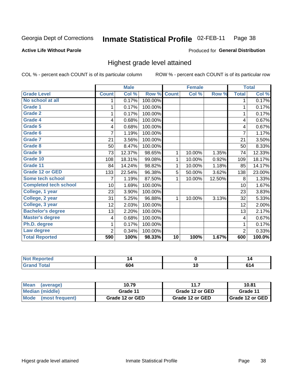### Inmate Statistical Profile 02-FEB-11 Page 38

### **Active Life Without Parole**

### Produced for General Distribution

## Highest grade level attained

COL % - percent each COUNT is of its particular column

|                              |              | <b>Male</b> |         |              | <b>Female</b> |        |                | <b>Total</b> |
|------------------------------|--------------|-------------|---------|--------------|---------------|--------|----------------|--------------|
| <b>Grade Level</b>           | <b>Count</b> | Col %       | Row %   | <b>Count</b> | Col %         | Row %  | <b>Total</b>   | Col %        |
| No school at all             | 1            | 0.17%       | 100.00% |              |               |        | 1              | 0.17%        |
| <b>Grade 1</b>               |              | 0.17%       | 100.00% |              |               |        | 1              | 0.17%        |
| <b>Grade 2</b>               | 1            | 0.17%       | 100.00% |              |               |        | 1              | 0.17%        |
| Grade 4                      | 4            | 0.68%       | 100.00% |              |               |        | 4              | 0.67%        |
| Grade 5                      | 4            | 0.68%       | 100.00% |              |               |        | 4              | 0.67%        |
| Grade 6                      | 7            | 1.19%       | 100.00% |              |               |        | $\overline{7}$ | 1.17%        |
| <b>Grade 7</b>               | 21           | 3.56%       | 100.00% |              |               |        | 21             | 3.50%        |
| <b>Grade 8</b>               | 50           | 8.47%       | 100.00% |              |               |        | 50             | 8.33%        |
| <b>Grade 9</b>               | 73           | 12.37%      | 98.65%  | 1            | 10.00%        | 1.35%  | 74             | 12.33%       |
| Grade 10                     | 108          | 18.31%      | 99.08%  | 1            | 10.00%        | 0.92%  | 109            | 18.17%       |
| Grade 11                     | 84           | 14.24%      | 98.82%  | 1            | 10.00%        | 1.18%  | 85             | 14.17%       |
| <b>Grade 12 or GED</b>       | 133          | 22.54%      | 96.38%  | 5            | 50.00%        | 3.62%  | 138            | 23.00%       |
| <b>Some tech school</b>      | 7            | 1.19%       | 87.50%  | 1            | 10.00%        | 12.50% | 8              | 1.33%        |
| <b>Completed tech school</b> | 10           | 1.69%       | 100.00% |              |               |        | 10             | 1.67%        |
| College, 1 year              | 23           | 3.90%       | 100.00% |              |               |        | 23             | 3.83%        |
| College, 2 year              | 31           | 5.25%       | 96.88%  | 1            | 10.00%        | 3.13%  | 32             | 5.33%        |
| College, 3 year              | 12           | 2.03%       | 100.00% |              |               |        | 12             | 2.00%        |
| <b>Bachelor's degree</b>     | 13           | 2.20%       | 100.00% |              |               |        | 13             | 2.17%        |
| <b>Master's degree</b>       | 4            | 0.68%       | 100.00% |              |               |        | 4              | 0.67%        |
| Ph.D. degree                 | 1            | 0.17%       | 100.00% |              |               |        | 1              | 0.17%        |
| Law degree                   | 2            | 0.34%       | 100.00% |              |               |        | $\overline{2}$ | 0.33%        |
| <b>Total Reported</b>        | 590          | 100%        | 98.33%  | 10           | 100%          | 1.67%  | 600            | 100.0%       |

| <b>Reported</b> | 14  |    | 14 |
|-----------------|-----|----|----|
| <b>ota</b>      | 0U4 | 10 |    |

| ∣Mean<br>(average)             | 10.79           | 11              | 10.81                    |
|--------------------------------|-----------------|-----------------|--------------------------|
| Median (middle)                | Grade 11        | Grade 12 or GED | Grade 11                 |
| <b>Mode</b><br>(most frequent) | Grade 12 or GED | Grade 12 or GED | <b>I</b> Grade 12 or GED |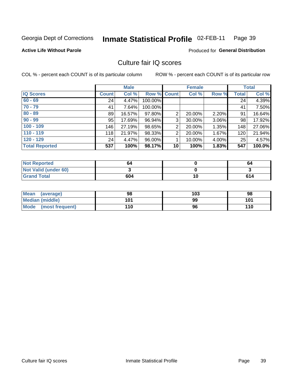### Inmate Statistical Profile 02-FEB-11 Page 39

## **Active Life Without Parole**

Produced for General Distribution

## Culture fair IQ scores

COL % - percent each COUNT is of its particular column

|                       |              | <b>Male</b> |                    |                 | <b>Female</b> |          |              | <b>Total</b> |
|-----------------------|--------------|-------------|--------------------|-----------------|---------------|----------|--------------|--------------|
| <b>IQ Scores</b>      | <b>Count</b> | Col %       | <b>Row % Count</b> |                 | Col %         | Row %    | <b>Total</b> | Col %        |
| $60 - 69$             | 24           | 4.47%       | 100.00%            |                 |               |          | 24           | 4.39%        |
| $70 - 79$             | 41           | 7.64%       | 100.00%            |                 |               |          | 41           | 7.50%        |
| $80 - 89$             | 89           | 16.57%      | 97.80%             | 2               | 20.00%        | 2.20%    | 91           | 16.64%       |
| $90 - 99$             | 95           | 17.69%      | 96.94%             | 3               | 30.00%        | $3.06\%$ | 98           | 17.92%       |
| $100 - 109$           | 146          | 27.19%      | 98.65%             | $\overline{2}$  | 20.00%        | 1.35%    | 148          | 27.06%       |
| $110 - 119$           | 118          | 21.97%      | 98.33%             | $\overline{2}$  | 20.00%        | 1.67%    | 120          | 21.94%       |
| $120 - 129$           | 24           | 4.47%       | 96.00%             |                 | 10.00%        | 4.00%    | 25           | 4.57%        |
| <b>Total Reported</b> | 537          | 100%        | 98.17%             | 10 <sup>1</sup> | 100%          | 1.83%    | 547          | 100.0%       |

| <b>Not Reported</b>         | 64  |    | 64  |
|-----------------------------|-----|----|-----|
| <b>Not Valid (under 60)</b> |     |    |     |
| <b>Grand Total</b>          | 604 | 10 | 614 |

| <b>Mean</b><br>(average)       | 98  | 103 | 98  |
|--------------------------------|-----|-----|-----|
| <b>Median (middle)</b>         | 101 | 99  | 101 |
| <b>Mode</b><br>(most frequent) | 110 | 96  | 110 |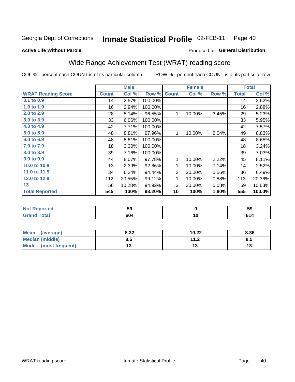### Inmate Statistical Profile 02-FEB-11 Page 40

### **Active Life Without Parole**

## **Produced for General Distribution**

# Wide Range Achievement Test (WRAT) reading score

COL % - percent each COUNT is of its particular column

|                           |              | <b>Male</b> |         |                | <b>Female</b> |       |              | <b>Total</b> |
|---------------------------|--------------|-------------|---------|----------------|---------------|-------|--------------|--------------|
| <b>WRAT Reading Score</b> | <b>Count</b> | Col %       | Row %   | <b>Count</b>   | Col %         | Row % | <b>Total</b> | Col %        |
| $0.1$ to $0.9$            | 14           | 2.57%       | 100.00% |                |               |       | 14           | 2.52%        |
| 1.0 to 1.9                | 16           | 2.94%       | 100.00% |                |               |       | 16           | 2.88%        |
| 2.0 to 2.9                | 28           | 5.14%       | 96.55%  | 1              | 10.00%        | 3.45% | 29           | 5.23%        |
| 3.0 to 3.9                | 33           | 6.06%       | 100.00% |                |               |       | 33           | 5.95%        |
| 4.0 to 4.9                | 42           | 7.71%       | 100.00% |                |               |       | 42           | 7.57%        |
| 5.0 to 5.9                | 48           | 8.81%       | 97.96%  | 1              | 10.00%        | 2.04% | 49           | 8.83%        |
| 6.0 to 6.9                | 48           | 8.81%       | 100.00% |                |               |       | 48           | 8.65%        |
| 7.0 to 7.9                | 18           | 3.30%       | 100.00% |                |               |       | 18           | 3.24%        |
| 8.0 to 8.9                | 39           | 7.16%       | 100.00% |                |               |       | 39           | 7.03%        |
| 9.0 to 9.9                | 44           | 8.07%       | 97.78%  | 1              | 10.00%        | 2.22% | 45           | 8.11%        |
| 10.0 to 10.9              | 13           | 2.39%       | 92.86%  | 1              | 10.00%        | 7.14% | 14           | 2.52%        |
| 11.0 to 11.9              | 34           | 6.24%       | 94.44%  | $\overline{2}$ | 20.00%        | 5.56% | 36           | 6.49%        |
| 12.0 to 12.9              | 112          | 20.55%      | 99.12%  | 1              | 10.00%        | 0.88% | 113          | 20.36%       |
| 13                        | 56           | 10.28%      | 94.92%  | 3              | 30.00%        | 5.08% | 59           | 10.63%       |
| <b>Total Reported</b>     | 545          | 100%        | 98.20%  | 10             | 100%          | 1.80% | 555          | 100.0%       |
|                           |              |             |         |                |               |       |              |              |
|                           |              |             |         |                |               |       |              |              |

| <b>Not</b><br><b>Reported</b> | ວະ  |    | nu<br>Jã |
|-------------------------------|-----|----|----------|
| <b>otal</b>                   | 604 | '' | ÷.       |

| <b>Mean</b><br>(average)       | 8.32 | 10.22               | 8.36 |
|--------------------------------|------|---------------------|------|
| Median (middle)                | 8.5  | 112<br>. . <u>.</u> | Ծ.J  |
| <b>Mode</b><br>(most frequent) |      |                     | IJ   |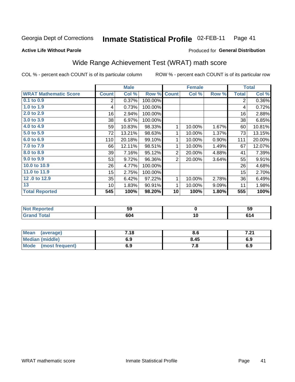#### Inmate Statistical Profile 02-FEB-11 Page 41

### **Active Life Without Parole**

## Produced for General Distribution

# Wide Range Achievement Test (WRAT) math score

COL % - percent each COUNT is of its particular column

|                              |              | <b>Male</b> |         |                 | <b>Female</b> |       |              | <b>Total</b> |  |
|------------------------------|--------------|-------------|---------|-----------------|---------------|-------|--------------|--------------|--|
| <b>WRAT Mathematic Score</b> | <b>Count</b> | Col %       | Row %   | <b>Count</b>    | Col %         | Row % | <b>Total</b> | Col %        |  |
| $0.1$ to $0.9$               | 2            | 0.37%       | 100.00% |                 |               |       | 2            | 0.36%        |  |
| 1.0 to 1.9                   | 4            | 0.73%       | 100.00% |                 |               |       | 4            | 0.72%        |  |
| 2.0 to 2.9                   | 16           | 2.94%       | 100.00% |                 |               |       | 16           | 2.88%        |  |
| 3.0 to 3.9                   | 38           | 6.97%       | 100.00% |                 |               |       | 38           | 6.85%        |  |
| 4.0 to 4.9                   | 59           | 10.83%      | 98.33%  | 1               | 10.00%        | 1.67% | 60           | 10.81%       |  |
| 5.0 to 5.9                   | 72           | 13.21%      | 98.63%  | 1               | 10.00%        | 1.37% | 73           | 13.15%       |  |
| 6.0 to 6.9                   | 110          | 20.18%      | 99.10%  | 1               | 10.00%        | 0.90% | 111          | 20.00%       |  |
| 7.0 to 7.9                   | 66           | 12.11%      | 98.51%  | 1               | 10.00%        | 1.49% | 67           | 12.07%       |  |
| 8.0 to 8.9                   | 39           | 7.16%       | 95.12%  | $\overline{2}$  | 20.00%        | 4.88% | 41           | 7.39%        |  |
| 9.0 to 9.9                   | 53           | 9.72%       | 96.36%  | $\overline{2}$  | 20.00%        | 3.64% | 55           | 9.91%        |  |
| 10.0 to 10.9                 | 26           | 4.77%       | 100.00% |                 |               |       | 26           | 4.68%        |  |
| 11.0 to 11.9                 | 15           | 2.75%       | 100.00% |                 |               |       | 15           | 2.70%        |  |
| 12.0 to 12.9                 | 35           | 6.42%       | 97.22%  | $\mathbf{1}$    | 10.00%        | 2.78% | 36           | 6.49%        |  |
| 13                           | 10           | 1.83%       | 90.91%  | 1               | 10.00%        | 9.09% | 11           | 1.98%        |  |
| <b>Total Reported</b>        | 545          | 100%        | 98.20%  | 10              | 100%          | 1.80% | 555          | 100%         |  |
|                              |              |             |         |                 |               |       |              |              |  |
| <b>Not Reported</b>          |              | 59          |         | $\pmb{0}$       |               |       | 59           |              |  |
| <b>Grand Total</b>           | 604          |             |         | $\overline{10}$ |               |       | 614          |              |  |

| <b>Mean</b><br>(average) | 7.18 | o.u  | , ^4<br>$\sim$ |
|--------------------------|------|------|----------------|
| <b>Median (middle)</b>   | 6.9  | 8.45 | 6.9            |
| Mode<br>(most frequent)  | 6.9  | . о  | 6.9            |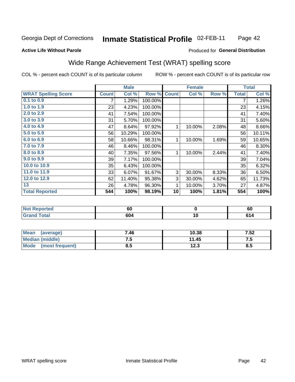### Inmate Statistical Profile 02-FEB-11 Page 42

### **Active Life Without Parole**

### Produced for General Distribution

# Wide Range Achievement Test (WRAT) spelling score

COL % - percent each COUNT is of its particular column

|                            |              | <b>Male</b> |         |              | <b>Female</b> |       |              | <b>Total</b> |
|----------------------------|--------------|-------------|---------|--------------|---------------|-------|--------------|--------------|
| <b>WRAT Spelling Score</b> | <b>Count</b> | Col %       | Row %   | <b>Count</b> | Col %         | Row % | <b>Total</b> | Col %        |
| 0.1 to 0.9                 | 7            | 1.29%       | 100.00% |              |               |       | 7            | 1.26%        |
| 1.0 to 1.9                 | 23           | 4.23%       | 100.00% |              |               |       | 23           | 4.15%        |
| 2.0 to 2.9                 | 41           | 7.54%       | 100.00% |              |               |       | 41           | 7.40%        |
| 3.0 to 3.9                 | 31           | 5.70%       | 100.00% |              |               |       | 31           | 5.60%        |
| 4.0 to 4.9                 | 47           | 8.64%       | 97.92%  | 1            | 10.00%        | 2.08% | 48           | 8.66%        |
| 5.0 to 5.9                 | 56           | 10.29%      | 100.00% |              |               |       | 56           | 10.11%       |
| 6.0 to 6.9                 | 58           | 10.66%      | 98.31%  | 1            | 10.00%        | 1.69% | 59           | 10.65%       |
| 7.0 to 7.9                 | 46           | 8.46%       | 100.00% |              |               |       | 46           | 8.30%        |
| 8.0 to 8.9                 | 40           | 7.35%       | 97.56%  | 1            | 10.00%        | 2.44% | 41           | 7.40%        |
| 9.0 to 9.9                 | 39           | 7.17%       | 100.00% |              |               |       | 39           | 7.04%        |
| 10.0 to 10.9               | 35           | 6.43%       | 100.00% |              |               |       | 35           | 6.32%        |
| 11.0 to $11.9$             | 33           | 6.07%       | 91.67%  | 3            | 30.00%        | 8.33% | 36           | 6.50%        |
| 12.0 to 12.9               | 62           | 11.40%      | 95.38%  | 3            | 30.00%        | 4.62% | 65           | 11.73%       |
| 13                         | 26           | 4.78%       | 96.30%  | 1            | 10.00%        | 3.70% | 27           | 4.87%        |
| <b>Total Reported</b>      | 544          | 100%        | 98.19%  | 10           | 100%          | 1.81% | 554          | 100%         |
|                            |              |             |         |              |               |       |              |              |
| Not Penerted               |              | 60.         |         |              | <sup>o</sup>  |       |              | 60.          |

| eporteg        | r r<br>ov             |     | $ -$<br>υu |
|----------------|-----------------------|-----|------------|
| otal<br>______ | <u></u><br><b>004</b> | I L |            |
|                |                       |     |            |

| <b>Mean</b><br>(average)       | 7.46 | 10.38 | 7.52 |
|--------------------------------|------|-------|------|
| Median (middle)                | ں. ر | 11.45 | ن. ، |
| <b>Mode</b><br>(most frequent) | 8.5  | 12.3  | 8.5  |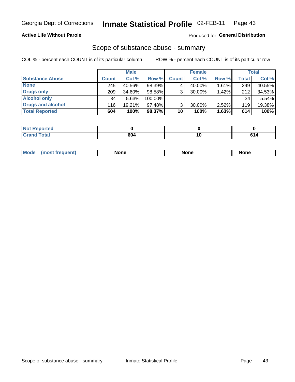## **Active Life Without Parole**

## Produced for General Distribution

## Scope of substance abuse - summary

COL % - percent each COUNT is of its particular column

|                        | <b>Male</b>  |        | <b>Female</b> |              |        | <b>Total</b> |       |        |
|------------------------|--------------|--------|---------------|--------------|--------|--------------|-------|--------|
| <b>Substance Abuse</b> | <b>Count</b> | Col %  | Row %         | <b>Count</b> | Col %  | Row %        | Total | Col %  |
| <b>None</b>            | 245          | 40.56% | 98.39%        |              | 40.00% | $1.61\%$     | 249   | 40.55% |
| <b>Drugs only</b>      | 209          | 34.60% | 98.58%        |              | 30.00% | 1.42%        | 212   | 34.53% |
| <b>Alcohol only</b>    | 34           | 5.63%  | 100.00%       |              |        |              | 34    | 5.54%  |
| Drugs and alcohol      | 116          | 19.21% | $97.48\%$     |              | 30.00% | $2.52\%$     | 119   | 19.38% |
| <b>Total Reported</b>  | 604          | 100%   | 98.37%        | 10           | 100%   | 1.63%        | 614   | 100%   |

| <b>Not</b><br>Reported       |    |     |
|------------------------------|----|-----|
| <b>Total</b><br><b>Grand</b> | ^^ | - - |

| <b>Mod</b><br>'one<br>None<br><b>None</b> |
|-------------------------------------------|
|-------------------------------------------|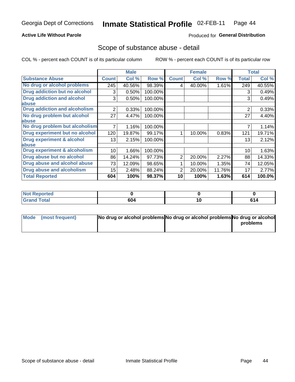## **Active Life Without Parole**

## Produced for General Distribution

## Scope of substance abuse - detail

COL % - percent each COUNT is of its particular column

|                                      |                | <b>Male</b> |         |                | <b>Female</b> |        |                | <b>Total</b> |
|--------------------------------------|----------------|-------------|---------|----------------|---------------|--------|----------------|--------------|
| <b>Substance Abuse</b>               | <b>Count</b>   | Col %       | Row %   | <b>Count</b>   | Col %         | Row %  | <b>Total</b>   | Col %        |
| No drug or alcohol problems          | 245            | 40.56%      | 98.39%  | 4              | 40.00%        | 1.61%  | 249            | 40.55%       |
| Drug addiction but no alcohol        | 3              | 0.50%       | 100.00% |                |               |        | 3              | 0.49%        |
| <b>Drug addiction and alcohol</b>    | 3              | 0.50%       | 100.00% |                |               |        | 3              | 0.49%        |
| abuse                                |                |             |         |                |               |        |                |              |
| <b>Drug addiction and alcoholism</b> | $\overline{2}$ | 0.33%       | 100.00% |                |               |        | $\overline{2}$ | 0.33%        |
| No drug problem but alcohol          | 27             | 4.47%       | 100.00% |                |               |        | 27             | 4.40%        |
| abuse                                |                |             |         |                |               |        |                |              |
| No drug problem but alcoholism       |                | 1.16%       | 100.00% |                |               |        |                | 1.14%        |
| Drug experiment but no alcohol       | 120            | 19.87%      | 99.17%  |                | 10.00%        | 0.83%  | 121            | 19.71%       |
| <b>Drug experiment &amp; alcohol</b> | 13             | 2.15%       | 100.00% |                |               |        | 13             | 2.12%        |
| abuse                                |                |             |         |                |               |        |                |              |
| Drug experiment & alcoholism         | 10             | 1.66%       | 100.00% |                |               |        | 10             | 1.63%        |
| Drug abuse but no alcohol            | 86             | 14.24%      | 97.73%  | $\overline{2}$ | 20.00%        | 2.27%  | 88             | 14.33%       |
| Drug abuse and alcohol abuse         | 73             | 12.09%      | 98.65%  |                | 10.00%        | 1.35%  | 74             | 12.05%       |
| <b>Drug abuse and alcoholism</b>     | 15             | 2.48%       | 88.24%  | 2              | 20.00%        | 11.76% | 17             | 2.77%        |
| <b>Total Reported</b>                | 604            | 100%        | 98.37%  | 10             | 100%          | 1.63%  | 614            | 100.0%       |

| <b>Reported</b><br>NOT F |     |    |
|--------------------------|-----|----|
| Total<br><b>Grand</b>    | 604 | cа |

| Mode (most frequent) | No drug or alcohol problems No drug or alcohol problems No drug or alcohol |          |
|----------------------|----------------------------------------------------------------------------|----------|
|                      |                                                                            | problems |
|                      |                                                                            |          |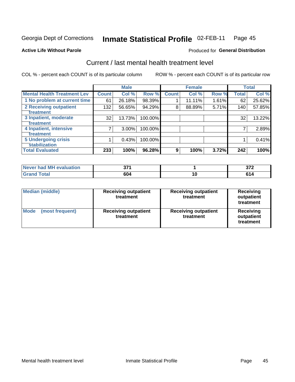### Inmate Statistical Profile 02-FEB-11 Page 45

**Active Life Without Parole** 

Produced for General Distribution

# Current / last mental health treatment level

COL % - percent each COUNT is of its particular column

|                                                |              | <b>Male</b> |         |              | <b>Female</b> |       |              | <b>Total</b> |
|------------------------------------------------|--------------|-------------|---------|--------------|---------------|-------|--------------|--------------|
| <b>Mental Health Treatment Lev</b>             | <b>Count</b> | Col %       | Row %   | <b>Count</b> | Col %         | Row % | <b>Total</b> | Col %        |
| 1 No problem at current time                   | 61           | 26.18%      | 98.39%  |              | 11.11%        | 1.61% | 62           | 25.62%       |
| 2 Receiving outpatient<br><b>Treatment</b>     | 132          | 56.65%      | 94.29%  | 8            | 88.89%        | 5.71% | 140          | 57.85%       |
| 3 Inpatient, moderate                          | 32           | 13.73%      | 100.00% |              |               |       | 32           | 13.22%       |
| <b>Treatment</b><br>4 Inpatient, intensive     | 7            | $3.00\%$    | 100.00% |              |               |       |              | 2.89%        |
| <b>Treatment</b><br><b>5 Undergoing crisis</b> |              | 0.43%       | 100.00% |              |               |       |              | 0.41%        |
| <b>stabilization</b>                           |              |             |         |              |               |       |              |              |
| <b>Total Evaluated</b>                         | 233          | 100%        | 96.28%  | 9            | 100%          | 3.72% | 242          | 100%         |

| had MH<br><b>uation</b><br>Aval<br>Never I | ヘライ<br>$\sim$ |    | $- - -$<br>v.<br>$\sim$ |
|--------------------------------------------|---------------|----|-------------------------|
|                                            | 604<br>$ -$   | IО |                         |

| <b>Median (middle)</b>         | <b>Receiving outpatient</b><br>treatment | <b>Receiving outpatient</b><br>treatment | <b>Receiving</b><br>outpatient<br>treatment |  |
|--------------------------------|------------------------------------------|------------------------------------------|---------------------------------------------|--|
| <b>Mode</b><br>(most frequent) | <b>Receiving outpatient</b><br>treatment | <b>Receiving outpatient</b><br>treatment | <b>Receiving</b><br>outpatient<br>treatment |  |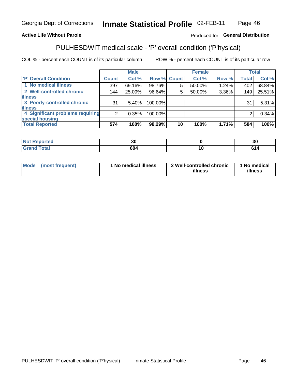#### Inmate Statistical Profile 02-FEB-11 Page 46

## **Active Life Without Parole**

## Produced for General Distribution

# PULHESDWIT medical scale - 'P' overall condition ('P'hysical)

COL % - percent each COUNT is of its particular column

|                                  |                 | <b>Male</b> |             |    | <b>Female</b> |          |              | <b>Total</b> |
|----------------------------------|-----------------|-------------|-------------|----|---------------|----------|--------------|--------------|
| 'P' Overall Condition            | <b>Count</b>    | Col %       | Row % Count |    | Col %         | Row %    | <b>Total</b> | Col %        |
| 1 No medical illness             | 397             | 69.16%      | 98.76%      | 5  | 50.00%        | $1.24\%$ | 402          | 68.84%       |
| 2 Well-controlled chronic        | 144             | 25.09%      | 96.64%      | 5  | 50.00%        | 3.36%    | 149          | 25.51%       |
| <b>illness</b>                   |                 |             |             |    |               |          |              |              |
| 3 Poorly-controlled chronic      | 31 <sub>1</sub> | $5.40\%$    | 100.00%     |    |               |          | 31           | 5.31%        |
| <b>illness</b>                   |                 |             |             |    |               |          |              |              |
| 4 Significant problems requiring | 2 <sub>1</sub>  | 0.35%       | 100.00%     |    |               |          | 2            | 0.34%        |
| special housing                  |                 |             |             |    |               |          |              |              |
| <b>Total Reported</b>            | 574             | 100%        | 98.29%      | 10 | 100%          | 1.71%    | 584          | 100%         |

| тес           | ״<br>υc | - 1<br>ึงบ |
|---------------|---------|------------|
| <u>i</u> Utal | 604     | $\sqrt{ }$ |

| <b>Mode</b> | (most frequent) | 1 No medical illness | 2 Well-controlled chronic<br>illness | 1 No medical<br>illness |
|-------------|-----------------|----------------------|--------------------------------------|-------------------------|
|-------------|-----------------|----------------------|--------------------------------------|-------------------------|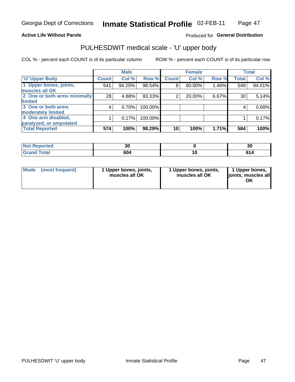### **Active Life Without Parole**

## Produced for General Distribution

# PULHESDWIT medical scale - 'U' upper body

COL % - percent each COUNT is of its particular column

|                              |              | <b>Male</b> |         |              | <b>Female</b> |       |              | <b>Total</b> |
|------------------------------|--------------|-------------|---------|--------------|---------------|-------|--------------|--------------|
| <b>U' Upper Body</b>         | <b>Count</b> | Col %       | Row %   | <b>Count</b> | Col %         | Row % | <b>Total</b> | Col %        |
| 1 Upper bones, joints,       | 541          | 94.25%      | 98.54%  | 8            | 80.00%        | 1.46% | 549          | 94.01%       |
| muscles all OK               |              |             |         |              |               |       |              |              |
| 2 One or both arms minimally | 28           | 4.88%       | 93.33%  | 2            | 20.00%        | 6.67% | 30           | 5.14%        |
| limited                      |              |             |         |              |               |       |              |              |
| 3 One or both arms           | 4            | 0.70%       | 100.00% |              |               |       | 4            | 0.68%        |
| moderately limited           |              |             |         |              |               |       |              |              |
| 4 One arm disabled,          |              | 0.17%       | 100.00% |              |               |       |              | 0.17%        |
| paralyzed, or amputated      |              |             |         |              |               |       |              |              |
| <b>Total Reported</b>        | 574          | 100%        | 98.29%  | 10           | 100%          | 1.71% | 584          | 100%         |

| <b>Not Reported</b>   | Jν  |   | 21<br>υc |
|-----------------------|-----|---|----------|
| <b>Total</b><br>Grand | 604 | u | с,       |

|  | Mode (most frequent) | 1 Upper bones, joints,<br>muscles all OK | 1 Upper bones, joints,<br>muscles all OK | 1 Upper bones,<br>ljoints, muscles all<br>ΟK |
|--|----------------------|------------------------------------------|------------------------------------------|----------------------------------------------|
|--|----------------------|------------------------------------------|------------------------------------------|----------------------------------------------|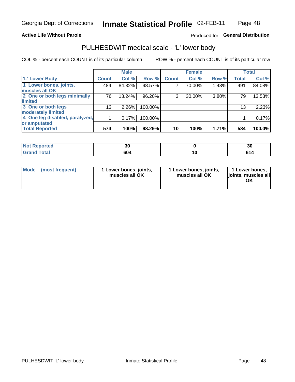## **Active Life Without Parole**

## Produced for General Distribution

# PULHESDWIT medical scale - 'L' lower body

COL % - percent each COUNT is of its particular column

|                                |              | <b>Male</b> |         |              | <b>Female</b> |       |                 | <b>Total</b> |
|--------------------------------|--------------|-------------|---------|--------------|---------------|-------|-----------------|--------------|
| 'L' Lower Body                 | <b>Count</b> | Col %       | Row %   | <b>Count</b> | Col %         | Row % | <b>Total</b>    | Col %        |
| 1 Lower bones, joints,         | 484          | 84.32%      | 98.57%  |              | 70.00%        | 1.43% | 491             | 84.08%       |
| muscles all OK                 |              |             |         |              |               |       |                 |              |
| 2 One or both legs minimally   | 76           | 13.24%      | 96.20%  | 3            | 30.00%        | 3.80% | 79              | 13.53%       |
| limited                        |              |             |         |              |               |       |                 |              |
| 3 One or both legs             | 13           | 2.26%       | 100.00% |              |               |       | 13 <sub>1</sub> | 2.23%        |
| moderately limited             |              |             |         |              |               |       |                 |              |
| 4 One leg disabled, paralyzed, |              | 0.17%       | 100.00% |              |               |       |                 | 0.17%        |
| or amputated                   |              |             |         |              |               |       |                 |              |
| <b>Total Reported</b>          | 574          | 100%        | 98.29%  | 10           | 100%          | 1.71% | 584             | 100.0%       |

| <b>Not Reported</b><br>$\sim$ . The set of $\sim$ | JU  |   | . .<br>ગ |
|---------------------------------------------------|-----|---|----------|
| <b>Total</b><br>Cror<br>------                    | 604 | u | с.       |

| Mode | (most frequent) | 1 Lower bones, joints,<br>muscles all OK | 1 Lower bones, joints,<br>muscles all OK | 1 Lower bones,<br>ljoints, muscles all<br>OK |
|------|-----------------|------------------------------------------|------------------------------------------|----------------------------------------------|
|------|-----------------|------------------------------------------|------------------------------------------|----------------------------------------------|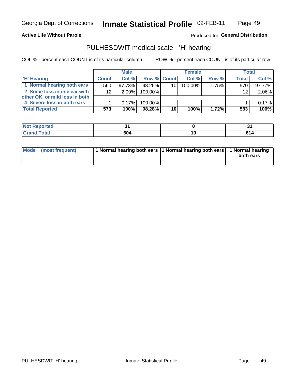### **Active Life Without Parole**

## Produced for General Distribution

## PULHESDWIT medical scale - 'H' hearing

COL % - percent each COUNT is of its particular column

|                                | <b>Male</b>     |        |                    | <b>Female</b>   |         |       | <b>Total</b> |        |
|--------------------------------|-----------------|--------|--------------------|-----------------|---------|-------|--------------|--------|
| <b>H' Hearing</b>              | <b>Count</b>    | Col %  | <b>Row % Count</b> |                 | Col%    | Row % | <b>Total</b> | Col %  |
| 1 Normal hearing both ears     | 560             | 97.73% | 98.25%             | 10              | 100.00% | 1.75% | 570          | 97.77% |
| 2 Some loss in one ear with    | 12 <sup>2</sup> | 2.09%  | 100.00%            |                 |         |       | 12           | 2.06%  |
| other OK, or mild loss in both |                 |        |                    |                 |         |       |              |        |
| 4 Severe loss in both ears     |                 | 0.17%  | 100.00%            |                 |         |       |              | 0.17%  |
| <b>Total Reported</b>          | 573             | 100%   | 98.28%             | 10 <sub>1</sub> | 100%    | 1.72% | 583          | 100%   |

| rtea                          |                   |     |
|-------------------------------|-------------------|-----|
| $F \sim 4 \sim 7$<br><b>.</b> | <b>00.</b><br>ייש | 614 |

| Mode (most frequent) | 1 Normal hearing both ears 1 Normal hearing both ears 1 Normal hearing |           |
|----------------------|------------------------------------------------------------------------|-----------|
|                      |                                                                        | both ears |
|                      |                                                                        |           |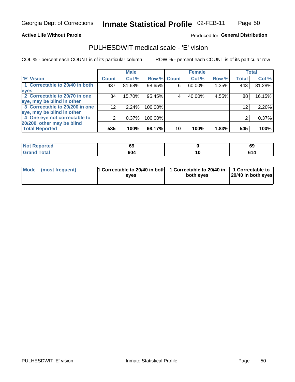**Active Life Without Parole** 

Produced for General Distribution

## PULHESDWIT medical scale - 'E' vision

COL % - percent each COUNT is of its particular column

|                                |                    | <b>Male</b> |         |             | <b>Female</b> |       |              | <b>Total</b> |
|--------------------------------|--------------------|-------------|---------|-------------|---------------|-------|--------------|--------------|
| <b>E' Vision</b>               | Count <sup>'</sup> | Col %       |         | Row % Count | Col %         | Row % | <b>Total</b> | Col %        |
| 1 Correctable to 20/40 in both | 437                | 81.68%      | 98.65%  | 6           | 60.00%        | 1.35% | 443          | 81.28%       |
| eyes                           |                    |             |         |             |               |       |              |              |
| 2 Correctable to 20/70 in one  | 84                 | 15.70%      | 95.45%  |             | 40.00%        | 4.55% | 88           | 16.15%       |
| eye, may be blind in other     |                    |             |         |             |               |       |              |              |
| 3 Correctable to 20/200 in one | 12 <sub>1</sub>    | 2.24%       | 100.00% |             |               |       | 12           | 2.20%        |
| eye, may be blind in other     |                    |             |         |             |               |       |              |              |
| 4 One eye not correctable to   |                    | 0.37%       | 100.00% |             |               |       |              | 0.37%        |
| 20/200, other may be blind     |                    |             |         |             |               |       |              |              |
| <b>Total Reported</b>          | 535                | 100%        | 98.17%  | 10          | 100%          | 1.83% | 545          | 100%         |

| <b>Not Reported</b> | 69  |     | c<br>ρs |
|---------------------|-----|-----|---------|
| <b>Total</b>        | 604 | 1 V | . .     |

| Mode (most frequent) | <sup>1</sup> Correctable to 20/40 in both 1 Correctable to 20/40 in 1 Correctable to<br>eves | both eyes | 20/40 in both eyes |
|----------------------|----------------------------------------------------------------------------------------------|-----------|--------------------|
|                      |                                                                                              |           |                    |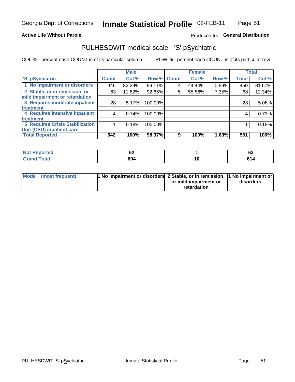## **Active Life Without Parole**

## Produced for General Distribution

# PULHESDWIT medical scale - 'S' pSychiatric

COL % - percent each COUNT is of its particular column

|                                        |              | <b>Male</b> |         |             | <b>Female</b> |       |              | <b>Total</b> |
|----------------------------------------|--------------|-------------|---------|-------------|---------------|-------|--------------|--------------|
| 'S' pSychiatric                        | <b>Count</b> | Col %       |         | Row % Count | Col %         | Row % | <b>Total</b> | Col %        |
| 1 No impairment or disorders           | 446          | 82.29%      | 99.11%  | 4           | 44.44%        | 0.89% | 450          | 81.67%       |
| 2 Stable, or in remission, or          | 63           | 11.62%      | 92.65%  | 5           | 55.56%        | 7.35% | 68           | 12.34%       |
| mild impairment or retardation         |              |             |         |             |               |       |              |              |
| 3 Requires moderate inpatient          | 28           | 5.17%       | 100.00% |             |               |       | 28           | 5.08%        |
| treatment                              |              |             |         |             |               |       |              |              |
| 4 Requires intensive inpatient         | 4            | 0.74%       | 100.00% |             |               |       | 4            | 0.73%        |
| treatment                              |              |             |         |             |               |       |              |              |
| <b>5 Requires Crisis Stabilization</b> |              | 0.18%       | 100.00% |             |               |       |              | 0.18%        |
| Unit (CSU) inpatient care              |              |             |         |             |               |       |              |              |
| <b>Total Reported</b>                  | 542          | 100%        | 98.37%  | 9           | 100%          | 1.63% | 551          | 100%         |

| <b>Not Reported</b>         | $\overline{\phantom{a}}$<br>VZ |    | $\overline{\phantom{a}}$<br>სა |
|-----------------------------|--------------------------------|----|--------------------------------|
| <b>Total</b><br><b>Gran</b> | 604                            | ΙC | ^4                             |

| Mode (most frequent) | <b>1 No impairment or disorders</b> 2 Stable, or in remission, 11 No impairment or |                       |           |
|----------------------|------------------------------------------------------------------------------------|-----------------------|-----------|
|                      |                                                                                    | or mild impairment or | disorders |
|                      |                                                                                    | retardation           |           |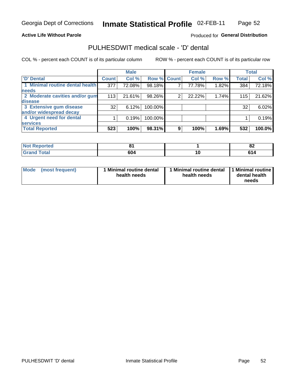### **Active Life Without Parole**

## Produced for General Distribution

# PULHESDWIT medical scale - 'D' dental

COL % - percent each COUNT is of its particular column

|                                 |                    | <b>Male</b> |         |             | <b>Female</b> |       |              | <b>Total</b> |
|---------------------------------|--------------------|-------------|---------|-------------|---------------|-------|--------------|--------------|
| <b>D'</b> Dental                | Count <sup>1</sup> | Col %       |         | Row % Count | Col %         | Row % | <b>Total</b> | Col %        |
| 1 Minimal routine dental health | 377                | 72.08%      | 98.18%  |             | 77.78%        | 1.82% | 384          | 72.18%       |
| <b>needs</b>                    |                    |             |         |             |               |       |              |              |
| 2 Moderate cavities and/or gum  | 113                | 21.61%      | 98.26%  | 2           | 22.22%        | 1.74% | 115          | 21.62%       |
| disease                         |                    |             |         |             |               |       |              |              |
| 3 Extensive gum disease         | 32                 | 6.12%       | 100.00% |             |               |       | 32           | 6.02%        |
| and/or widespread decay         |                    |             |         |             |               |       |              |              |
| 4 Urgent need for dental        |                    | 0.19%       | 100.00% |             |               |       |              | 0.19%        |
| <b>services</b>                 |                    |             |         |             |               |       |              |              |
| <b>Total Reported</b>           | 523                | 100%        | 98.31%  | 9           | 100%          | 1.69% | 532          | 100.0%       |

| <b>Not Reported</b>          |     |     | $\mathbf{C}$<br>OZ. |
|------------------------------|-----|-----|---------------------|
| <b>Total</b><br><b>C</b> roy | 604 | 1 V |                     |

| <b>Mode</b> | (most frequent) | <b>Minimal routine dental</b><br>health needs | 1 Minimal routine dental 1 Minimal routine<br>health needs | dental health<br>needs |
|-------------|-----------------|-----------------------------------------------|------------------------------------------------------------|------------------------|
|-------------|-----------------|-----------------------------------------------|------------------------------------------------------------|------------------------|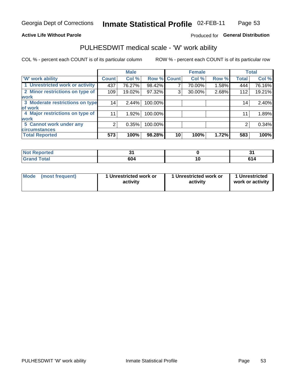## **Active Life Without Parole**

## Produced for General Distribution

# PULHESDWIT medical scale - 'W' work ability

COL % - percent each COUNT is of its particular column

|                                 |              | <b>Male</b> |         |             | <b>Female</b> |       |              | <b>Total</b> |
|---------------------------------|--------------|-------------|---------|-------------|---------------|-------|--------------|--------------|
| <b>W' work ability</b>          | <b>Count</b> | Col %       |         | Row % Count | Col %         | Row % | <b>Total</b> | Col %        |
| 1 Unrestricted work or activity | 437          | 76.27%      | 98.42%  |             | 70.00%        | 1.58% | 444          | 76.16%       |
| 2 Minor restrictions on type of | 109          | 19.02%      | 97.32%  | 3           | 30.00%        | 2.68% | 112          | 19.21%       |
| <b>work</b>                     |              |             |         |             |               |       |              |              |
| 3 Moderate restrictions on type | 14           | 2.44%       | 100.00% |             |               |       | 14           | 2.40%        |
| lof work                        |              |             |         |             |               |       |              |              |
| 4 Major restrictions on type of | 11           | 1.92%       | 100.00% |             |               |       | 11           | 1.89%        |
| <b>work</b>                     |              |             |         |             |               |       |              |              |
| 5 Cannot work under any         | 2            | 0.35%       | 100.00% |             |               |       | 2            | 0.34%        |
| <b>circumstances</b>            |              |             |         |             |               |       |              |              |
| <b>Total Reported</b>           | 573          | 100%        | 98.28%  | 10          | 100%          | 1.72% | 583          | 100%         |

| <b>Not Reported</b>  | $\sim$ |    |
|----------------------|--------|----|
| <b>Total</b><br>Gran | 604    | cа |

| Mode (most frequent) | 1 Unrestricted work or | 1 Unrestricted work or | 1 Unrestricted   |
|----------------------|------------------------|------------------------|------------------|
|                      | activity               | activity               | work or activity |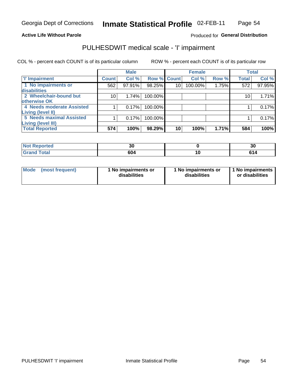### **Active Life Without Parole**

## Produced for General Distribution

# PULHESDWIT medical scale - 'I' impairment

COL % - percent each COUNT is of its particular column ROW % - percent each COUNT is of its particular row

|                           |                 | <b>Male</b> |             |    | <b>Female</b> |       |                 | <b>Total</b> |
|---------------------------|-----------------|-------------|-------------|----|---------------|-------|-----------------|--------------|
| <b>T' Impairment</b>      | <b>Count</b>    | Col %       | Row % Count |    | Col %         | Row % | <b>Total</b>    | Col %        |
| 1 No impairments or       | 562             | 97.91%      | 98.25%      | 10 | 100.00%       | 1.75% | 572             | 97.95%       |
| disabilities              |                 |             |             |    |               |       |                 |              |
| 2 Wheelchair-bound but    | 10 <sub>1</sub> | 1.74%       | 100.00%     |    |               |       | 10 <sup>°</sup> | 1.71%        |
| otherwise OK              |                 |             |             |    |               |       |                 |              |
| 4 Needs moderate Assisted |                 | 0.17%       | 100.00%     |    |               |       |                 | 0.17%        |
| Living (level II)         |                 |             |             |    |               |       |                 |              |
| 5 Needs maximal Assisted  |                 | 0.17%       | 100.00%     |    |               |       |                 | 0.17%        |
| <b>Living (level III)</b> |                 |             |             |    |               |       |                 |              |
| <b>Total Reported</b>     | 574             | 100%        | 98.29%      | 10 | 100%          | 1.71% | 584             | 100%         |

| orted       | . .<br>vu | 30 |
|-------------|-----------|----|
| <b>Tota</b> | 604       |    |

| <b>Mode</b>     | 1 No impairments or | 1 No impairments or | 1 No impairments |
|-----------------|---------------------|---------------------|------------------|
| (most frequent) | disabilities        | disabilities        | or disabilities  |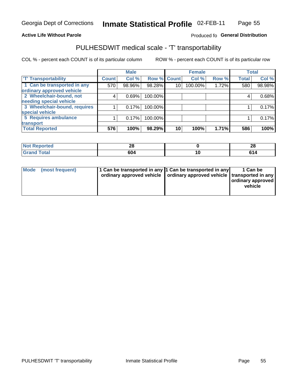## **Active Life Without Parole**

## Produced fo General Distribution

# PULHESDWIT medical scale - 'T' transportability

COL % - percent each COUNT is of its particular column

|                              |              | <b>Male</b> |             |    | <b>Female</b> |       |              | <b>Total</b> |
|------------------------------|--------------|-------------|-------------|----|---------------|-------|--------------|--------------|
| <b>T' Transportability</b>   | <b>Count</b> | Col %       | Row % Count |    | Col %         | Row % | <b>Total</b> | Col %        |
| 1 Can be transported in any  | 570          | 98.96%      | 98.28%      | 10 | 100.00%       | 1.72% | 580          | 98.98%       |
| ordinary approved vehicle    |              |             |             |    |               |       |              |              |
| 2 Wheelchair-bound, not      | 4            | 0.69%       | 100.00%     |    |               |       |              | 0.68%        |
| needing special vehicle      |              |             |             |    |               |       |              |              |
| 3 Wheelchair-bound, requires |              | 0.17%       | 100.00%     |    |               |       |              | 0.17%        |
| special vehicle              |              |             |             |    |               |       |              |              |
| 5 Requires ambulance         |              | 0.17%       | 100.00%     |    |               |       |              | 0.17%        |
| transport                    |              |             |             |    |               |       |              |              |
| <b>Total Reported</b>        | 576          | 100%        | 98.29%      | 10 | 100%          | 1.71% | 586          | 100%         |

| w     | ົ   | റ  |
|-------|-----|----|
| ortea | zo  | ZO |
|       | 604 | .  |

| <b>Mode</b> | (most frequent) | 1 Can be transported in any 1 Can be transported in any | ordinary approved vehicle   ordinary approved vehicle   transported in any | 1 Can be<br>  ordinary approved  <br>vehicle |
|-------------|-----------------|---------------------------------------------------------|----------------------------------------------------------------------------|----------------------------------------------|
|-------------|-----------------|---------------------------------------------------------|----------------------------------------------------------------------------|----------------------------------------------|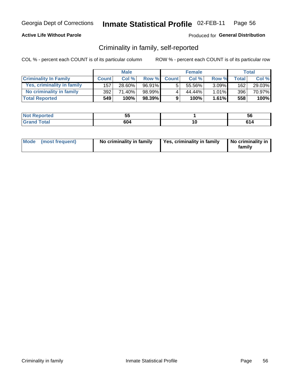## **Active Life Without Parole**

## Produced for General Distribution

## Criminality in family, self-reported

COL % - percent each COUNT is of its particular column

|                              | <b>Male</b>  |        | <b>Female</b> |              |        | Total    |              |        |
|------------------------------|--------------|--------|---------------|--------------|--------|----------|--------------|--------|
| <b>Criminality In Family</b> | <b>Count</b> | Col %  | Row %         | <b>Count</b> | Col %  | Row %    | <b>Total</b> | Col %  |
| Yes, criminality in family   | 157          | 28.60% | 96.91%        | 5            | 55.56% | $3.09\%$ | 162          | 29.03% |
| No criminality in family     | 392          | 71.40% | 98.99%        | 4            | 44.44% | $1.01\%$ | 396          | 70.97% |
| <b>Total Reported</b>        | 549          | 100%   | 98.39%        | 9            | 100%   | 1.61%    | 558          | 100%   |

| <b>Not Reported</b>            | --<br>◡ |    | ວເ |
|--------------------------------|---------|----|----|
| <b>c</b> otal<br>l Gran<br>uuu | 604     | л. |    |

|  | Mode (most frequent) | No criminality in family | Yes, criminality in family | No criminality in<br>family |
|--|----------------------|--------------------------|----------------------------|-----------------------------|
|--|----------------------|--------------------------|----------------------------|-----------------------------|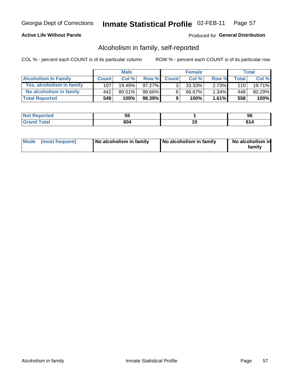## **Active Life Without Parole**

## Produced for General Distribution

## Alcoholism in family, self-reported

COL % - percent each COUNT is of its particular column

|                             | <b>Male</b>  |           | <b>Female</b> |                |        | Total |       |        |
|-----------------------------|--------------|-----------|---------------|----------------|--------|-------|-------|--------|
| <b>Alcoholism In Family</b> | <b>Count</b> | Col %     | Row %         | <b>Count</b>   | Col %  | Row % | Total | Col %  |
| Yes, alcoholism in family   | 107          | $19.49\%$ | $97.27\%$     | 3 <sub>1</sub> | 33.33% | 2.73% | 110   | 19.71% |
| No alcoholism in family     | 442          | 80.51%    | 98.66%        | 6              | 66.67% | 1.34% | 448   | 80.29% |
| <b>Total Reported</b>       | 549          | 100%      | 98.39%        | 9              | 100%   | 1.61% | 558   | 100%   |

| ported<br>' NOt | --<br>ັບ |     | <b>JQ</b> |
|-----------------|----------|-----|-----------|
| Gr:<br>-        | 604      | ı u | . .       |

|  | Mode (most frequent) | No alcoholism in family | No alcoholism in family | No alcoholism in<br>family |
|--|----------------------|-------------------------|-------------------------|----------------------------|
|--|----------------------|-------------------------|-------------------------|----------------------------|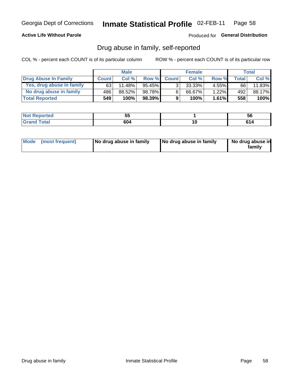## **Active Life Without Parole**

## Produced for General Distribution

## Drug abuse in family, self-reported

COL % - percent each COUNT is of its particular column

|                           | <b>Male</b>  |        | <b>Female</b> |                |           | <b>Total</b> |       |         |
|---------------------------|--------------|--------|---------------|----------------|-----------|--------------|-------|---------|
| Drug Abuse In Family      | <b>Count</b> | Col%   | Row %         | <b>Count</b>   | Col%      | Row %        | Total | Col %   |
| Yes, drug abuse in family | 63           | 11.48% | $95.45\%$     | 3 <sub>1</sub> | $33.33\%$ | $4.55\%$     | 66    | 11.83%  |
| No drug abuse in family   | 486          | 88.52% | 98.78%        | 6              | 66.67%    | 1.22%        | 492   | 88.17%  |
| <b>Total Reported</b>     | 549          | 100%   | $98.39\%$     | 9              | 100%      | 1.61%        | 558   | $100\%$ |

| اد د الس<br>keportea<br>NO | --<br>◡ | <b>JC</b> |
|----------------------------|---------|-----------|
| <b>otal</b>                | 604     | сл        |

|  | Mode (most frequent) | No drug abuse in family | No drug abuse in family | No drug abuse in<br>family |
|--|----------------------|-------------------------|-------------------------|----------------------------|
|--|----------------------|-------------------------|-------------------------|----------------------------|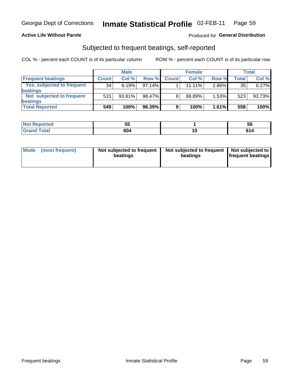## **Active Life Without Parole**

## Produced for General Distribution

## Subjected to frequent beatings, self-reported

COL % - percent each COUNT is of its particular column

|                                   | <b>Male</b>  |        | <b>Female</b> |              |        | Total |       |        |
|-----------------------------------|--------------|--------|---------------|--------------|--------|-------|-------|--------|
| <b>Frequent beatings</b>          | <b>Count</b> | Col%   | Row %         | <b>Count</b> | Col %  | Row % | Total | Col %  |
| <b>Yes, subjected to frequent</b> | 34           | 6.19%  | $97.14\%$     |              | 11.11% | 2.86% | 35    | 6.27%  |
| <b>beatings</b>                   |              |        |               |              |        |       |       |        |
| Not subjected to frequent         | 515          | 93.81% | 98.47%        | 8            | 88.89% | 1.53% | 523   | 93.73% |
| <b>beatings</b>                   |              |        |               |              |        |       |       |        |
| <b>Total Reported</b>             | 549          | 100%   | 98.39%        | 9            | 100%   | 1.61% | 558   | 100%   |

| <b>Not Reported</b> | --<br>JJ |           | 56      |
|---------------------|----------|-----------|---------|
| <b>Total</b>        | 604      | . .<br>ιu | C4<br>4 |

| Mode (most frequent) | Not subjected to frequent<br>beatings | Not subjected to frequent<br>beatings | Not subjected to<br><b>frequent beatings</b> |
|----------------------|---------------------------------------|---------------------------------------|----------------------------------------------|
|                      |                                       |                                       |                                              |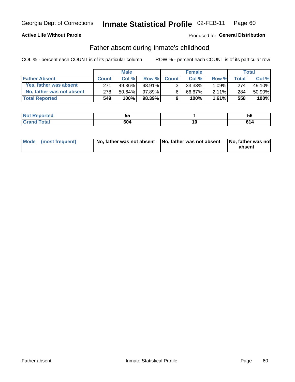## **Active Life Without Parole**

## Produced for General Distribution

## Father absent during inmate's childhood

COL % - percent each COUNT is of its particular column

|                           | <b>Male</b>  |           | <b>Female</b> |                |           | <b>Total</b> |         |        |
|---------------------------|--------------|-----------|---------------|----------------|-----------|--------------|---------|--------|
| <b>Father Absent</b>      | <b>Count</b> | Col%      | Row %         | <b>Count</b>   | Col%      | Row %        | Total I | Col %  |
| Yes, father was absent    | 271          | 49.36%    | 98.91%        | 3 <sub>1</sub> | $33.33\%$ | $1.09\%$     | 274     | 49.10% |
| No, father was not absent | 278          | $50.64\%$ | 97.89%        | 6              | 66.67%    | $2.11\%$     | 284     | 50.90% |
| <b>Total Reported</b>     | 549          | 100%      | $98.39\%$     | 9              | 100%      | $1.61\%$     | 558     | 100%   |

| <b>Not Reported</b>            | --<br>◡ |    | ວເ |
|--------------------------------|---------|----|----|
| <b>c</b> otal<br>l Gran<br>uuu | 604     | л. |    |

|  | Mode (most frequent) | No, father was not absent No, father was not absent |  | No, father was not<br>absent |
|--|----------------------|-----------------------------------------------------|--|------------------------------|
|--|----------------------|-----------------------------------------------------|--|------------------------------|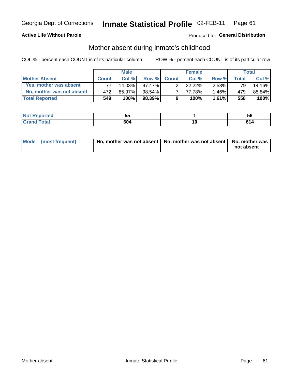## **Active Life Without Parole**

## Produced for General Distribution

## Mother absent during inmate's childhood

COL % - percent each COUNT is of its particular column

|                           | <b>Male</b>  |           | <b>Female</b> |              |           | Total    |              |        |
|---------------------------|--------------|-----------|---------------|--------------|-----------|----------|--------------|--------|
| <b>Mother Absent</b>      | <b>Count</b> | Col%      | Row %         | <b>Count</b> | Col%      | Row %    | <b>Total</b> | Col %  |
| Yes, mother was absent    |              | $14.03\%$ | 97.47%        | ົ            | $22.22\%$ | $2.53\%$ | 79           | 14.16% |
| No, mother was not absent | 472          | 85.97%    | $98.54\%$     |              | 77.78%    | 1.46%    | 479          | 85.84% |
| <b>Total Reported</b>     | 549          | 100%      | 98.39%        | 9            | 100%      | $1.61\%$ | 558          | 100%   |

| اد د الس<br>keportea<br>NO | --<br>◡ | <b>JC</b> |
|----------------------------|---------|-----------|
| <b>otal</b>                | 604     | сл        |

| Mode (most frequent) | No, mother was not absent   No, mother was not absent   No, mother was | not absent |
|----------------------|------------------------------------------------------------------------|------------|
|----------------------|------------------------------------------------------------------------|------------|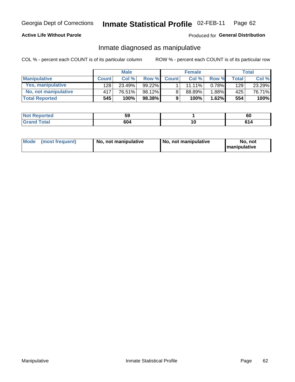## **Active Life Without Parole**

## Produced for General Distribution

## Inmate diagnosed as manipulative

COL % - percent each COUNT is of its particular column

|                          | <b>Male</b>  |        |           |              | <b>Female</b> | Total |              |        |
|--------------------------|--------------|--------|-----------|--------------|---------------|-------|--------------|--------|
| <b>Manipulative</b>      | <b>Count</b> | Col %  | Row %     | <b>Count</b> | Col %         | Row % | <b>Total</b> | Col %  |
| <b>Yes, manipulative</b> | 128          | 23.49% | $99.22\%$ |              | 11.11%        | 0.78% | 129          | 23.29% |
| No, not manipulative     | 417          | 76.51% | 98.12%    | 8            | 88.89%        | 1.88% | 425          | 76.71% |
| <b>Total Reported</b>    | 545          | 100%   | $98.38\%$ | 9            | 100%          | 1.62% | 554          | 100%   |

| oneo  | --<br> |    | r r<br>ρn |
|-------|--------|----|-----------|
| Total | ۹Λ۵    | ιu | ,,,       |

|  | Mode (most frequent) | No, not manipulative | No, not manipulative | No. not<br><b>I</b> manipulative |
|--|----------------------|----------------------|----------------------|----------------------------------|
|--|----------------------|----------------------|----------------------|----------------------------------|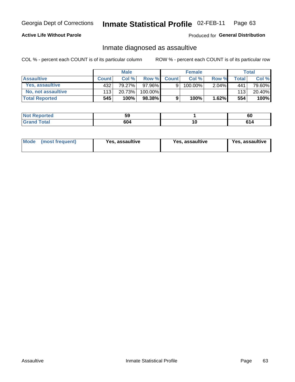#### Inmate Statistical Profile 02-FEB-11 Page 63

## **Active Life Without Parole**

Produced for General Distribution

## Inmate diagnosed as assaultive

COL % - percent each COUNT is of its particular column

|                       | <b>Male</b>  |        |         | <b>Female</b> |         |          | Total |        |
|-----------------------|--------------|--------|---------|---------------|---------|----------|-------|--------|
| <b>Assaultive</b>     | <b>Count</b> | Col %  | Row %   | <b>Count</b>  | Col %   | Row %    | Total | Col %  |
| Yes, assaultive       | 432          | 79.27% | 97.96%  | 9             | 100.00% | $2.04\%$ | 441   | 79.60% |
| No, not assaultive    | 113          | 20.73% | 100.00% |               |         |          | 113   | 20.40% |
| <b>Total Reported</b> | 545          | 100%   | 98.38%  | 9             | 100%    | $1.62\%$ | 554   | 100%   |

| Reported<br>NOT | --<br>JJ. | Ωú |
|-----------------|-----------|----|
| <b>otal</b>     | 604       | сл |

| <b>Mode</b><br>(most frequent) | <b>Yes, assaultive</b> | Yes, assaultive | <b>Yes, assaultive</b> |
|--------------------------------|------------------------|-----------------|------------------------|
|--------------------------------|------------------------|-----------------|------------------------|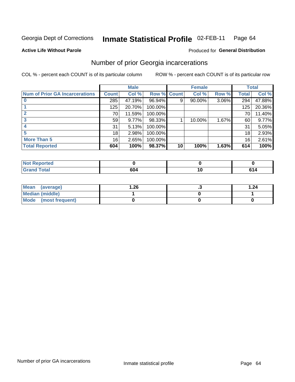#### Inmate Statistical Profile 02-FEB-11 Page 64

**Active Life Without Parole** 

### Produced for General Distribution

## Number of prior Georgia incarcerations

COL % - percent each COUNT is of its particular column

|                                       | <b>Male</b>  |        |                    | <b>Female</b> |        |          | <b>Total</b> |        |
|---------------------------------------|--------------|--------|--------------------|---------------|--------|----------|--------------|--------|
| <b>Num of Prior GA Incarcerations</b> | <b>Count</b> | Col %  | <b>Row % Count</b> |               | Col %  | Row %    | <b>Total</b> | Col %  |
|                                       | 285          | 47.19% | 96.94%             | 9             | 90.00% | $3.06\%$ | 294          | 47.88% |
|                                       | 125          | 20.70% | 100.00%            |               |        |          | 125          | 20.36% |
|                                       | 70           | 11.59% | 100.00%            |               |        |          | 70           | 11.40% |
|                                       | 59           | 9.77%  | 98.33%             |               | 10.00% | 1.67%    | 60           | 9.77%  |
|                                       | 31           | 5.13%  | 100.00%            |               |        |          | 31           | 5.05%  |
|                                       | 18           | 2.98%  | 100.00%            |               |        |          | 18           | 2.93%  |
| <b>More Than 5</b>                    | 16           | 2.65%  | 100.00%            |               |        |          | 16           | 2.61%  |
| <b>Total Reported</b>                 | 604          | 100%   | 98.37%             | 10            | 100%   | 1.63%    | 614          | 100%   |

| <b>orted</b><br>N               |  |  |  |
|---------------------------------|--|--|--|
| <b>otal</b><br>$\mathbf{v}$ and |  |  |  |

| Mean (average)       | 1.26 | . . | 1.24 |
|----------------------|------|-----|------|
| Median (middle)      |      |     |      |
| Mode (most frequent) |      |     |      |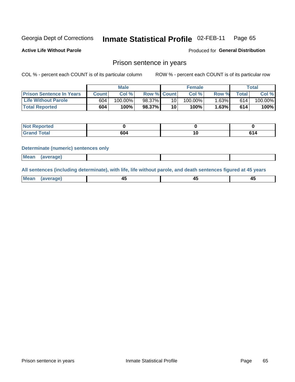#### Inmate Statistical Profile 02-FEB-11 Page 65

**Active Life Without Parole** 

Produced for General Distribution

## Prison sentence in years

COL % - percent each COUNT is of its particular column

ROW % - percent each COUNT is of its particular row

|                                 | <b>Male</b> |            |                    | <b>Female</b>   |            |       | $\tau$ otal |         |
|---------------------------------|-------------|------------|--------------------|-----------------|------------|-------|-------------|---------|
| <b>Prison Sentence In Years</b> | Count       | Col %      | <b>Row % Count</b> |                 | Col%       | Row % | Total       | Col %   |
| <b>Life Without Parole</b>      | 604         | $100.00\%$ | 98.37%             | 10 <sub>1</sub> | $100.00\%$ | 1.63% | 614         | 100.00% |
| <b>Total Reported</b>           | 604         | 100%       | 98.37%             | 10              | 100%       | 1.63% | 614         | 100%    |

| Not Reported |         |  |
|--------------|---------|--|
| <b>otal</b>  | <br>604 |  |

### **Determinate (numeric) sentences only**

| <b>Mean</b><br><i>(average)</i> |  |
|---------------------------------|--|
|---------------------------------|--|

All sentences (including determinate), with life, life without parole, and death sentences figured at 45 years

| <b>Mea</b><br>rano<br>1119811 | ╌<br>_ | -- |
|-------------------------------|--------|----|
|                               |        |    |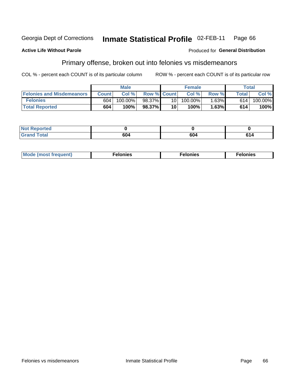#### Inmate Statistical Profile 02-FEB-11 Georgia Dept of Corrections Page 66

### **Active Life Without Parole**

### Produced for General Distribution

## Primary offense, broken out into felonies vs misdemeanors

COL % - percent each COUNT is of its particular column

|                                  | <b>Male</b>  |         |                    | <b>Female</b>   |         |       | Total        |         |
|----------------------------------|--------------|---------|--------------------|-----------------|---------|-------|--------------|---------|
| <b>Felonies and Misdemeanors</b> | <b>Count</b> | Col%    | <b>Row % Count</b> |                 | Col%    | Row % | <b>Total</b> | Col %   |
| <b>Felonies</b>                  | 604          | 100.00% | 98.37%             | 10 I            | 100.00% | 1.63% | 614          | 100.00% |
| <b>Total Reported</b>            | 604          | 100%    | 98.37%             | 10 <sup>1</sup> | 100%    | .63%  | 614          | 100%    |

| <b>Not Reported</b> |     |     |
|---------------------|-----|-----|
| <b>Grand Total</b>  | 604 | 614 |

| $Mc$<br>equent)<br>нез<br>$\sim$<br>. | onies<br>. | <b>onies</b><br>. |
|---------------------------------------|------------|-------------------|
|---------------------------------------|------------|-------------------|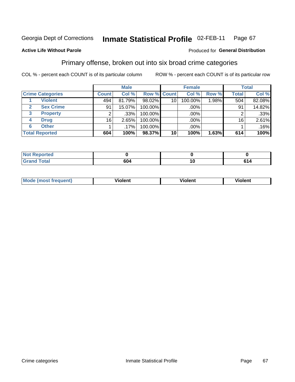#### Inmate Statistical Profile 02-FEB-11 Page 67

## **Active Life Without Parole**

### Produced for General Distribution

## Primary offense, broken out into six broad crime categories

COL % - percent each COUNT is of its particular column

|                                  | <b>Male</b>  |         | <b>Female</b> |                 |         | <b>Total</b> |              |        |
|----------------------------------|--------------|---------|---------------|-----------------|---------|--------------|--------------|--------|
| <b>Crime Categories</b>          | <b>Count</b> | Col %   | Row % Count   |                 | Col %   | Row %        | <b>Total</b> | Col %  |
| <b>Violent</b>                   | 494          | 81.79%  | 98.02%        | 10 <sup>1</sup> | 100.00% | 1.98%        | 504          | 82.08% |
| <b>Sex Crime</b><br>$\mathbf{2}$ | 91           | 15.07%  | 100.00%       |                 | .00%    |              | 91           | 14.82% |
| 3<br><b>Property</b>             | 2            | .33%    | 100.00%       |                 | .00%    |              |              | .33%   |
| <b>Drug</b><br>4                 | 16           | 2.65%   | 100.00%       |                 | .00%    |              | 16           | 2.61%  |
| <b>Other</b><br>6                |              | $.17\%$ | 100.00%       |                 | .00%    |              |              | .16%   |
| <b>Total Reported</b>            | 604          | 100%    | 98.37%        | 10 <sup>1</sup> | 100%    | 1.63%        | 614          | 100%   |

| <b>Not Reported</b> |     |              |
|---------------------|-----|--------------|
| <b>Total</b>        | 604 | . .<br>0 I 4 |

| М |   | - -- - |         |  |
|---|---|--------|---------|--|
|   | ш | וחי    | 1.91311 |  |
|   |   |        |         |  |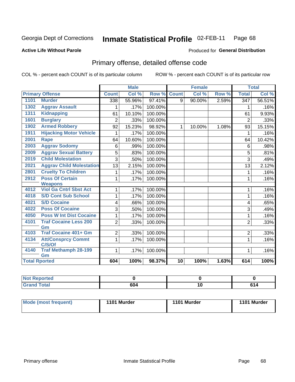### Inmate Statistical Profile 02-FEB-11 Page 68

### **Active Life Without Parole**

### Produced for General Distribution

# Primary offense, detailed offense code

COL % - percent each COUNT is of its particular column

|      |                                       |                | <b>Male</b> |         |                 | <b>Female</b> |       |                  | <b>Total</b> |
|------|---------------------------------------|----------------|-------------|---------|-----------------|---------------|-------|------------------|--------------|
|      | <b>Primary Offense</b>                | <b>Count</b>   | Col %       | Row %   | <b>Count</b>    | Col %         | Row % | <b>Total</b>     | Col %        |
| 1101 | <b>Murder</b>                         | 338            | 55.96%      | 97.41%  | 9               | 90.00%        | 2.59% | $\overline{347}$ | 56.51%       |
| 1302 | <b>Aggrav Assault</b>                 | 1              | .17%        | 100.00% |                 |               |       | 1                | .16%         |
| 1311 | <b>Kidnapping</b>                     | 61             | 10.10%      | 100.00% |                 |               |       | 61               | 9.93%        |
| 1601 | <b>Burglary</b>                       | $\overline{2}$ | .33%        | 100.00% |                 |               |       | $\overline{2}$   | .33%         |
| 1902 | <b>Armed Robbery</b>                  | 92             | 15.23%      | 98.92%  | $\mathbf{1}$    | 10.00%        | 1.08% | 93               | 15.15%       |
| 1911 | <b>Hijacking Motor Vehicle</b>        | 1              | .17%        | 100.00% |                 |               |       | 1                | .16%         |
| 2001 | <b>Rape</b>                           | 64             | 10.60%      | 100.00% |                 |               |       | 64               | 10.42%       |
| 2003 | <b>Aggrav Sodomy</b>                  | 6              | .99%        | 100.00% |                 |               |       | 6                | .98%         |
| 2009 | <b>Aggrav Sexual Battery</b>          | 5              | .83%        | 100.00% |                 |               |       | 5                | .81%         |
| 2019 | <b>Child Molestation</b>              | 3              | .50%        | 100.00% |                 |               |       | 3                | .49%         |
| 2021 | <b>Aggrav Child Molestation</b>       | 13             | 2.15%       | 100.00% |                 |               |       | 13               | 2.12%        |
| 2801 | <b>Cruelty To Children</b>            | 1              | .17%        | 100.00% |                 |               |       | 1                | .16%         |
| 2912 | <b>Poss Of Certain</b>                | 1              | .17%        | 100.00% |                 |               |       | 1                | .16%         |
|      | <b>Weapons</b>                        |                |             |         |                 |               |       |                  |              |
| 4012 | <b>Viol Ga Cntrl Sbst Act</b>         | 1              | .17%        | 100.00% |                 |               |       | 1                | .16%         |
| 4018 | <b>S/D Cont Sub School</b>            | 1              | .17%        | 100.00% |                 |               |       | 1                | .16%         |
| 4021 | <b>S/D Cocaine</b>                    | 4              | .66%        | 100.00% |                 |               |       | 4                | .65%         |
| 4022 | <b>Poss Of Cocaine</b>                | 3              | .50%        | 100.00% |                 |               |       | 3                | .49%         |
| 4050 | <b>Poss W Int Dist Cocaine</b>        | 1              | .17%        | 100.00% |                 |               |       | 1                | .16%         |
| 4101 | <b>Traf Cocaine Less 200</b>          | $\overline{2}$ | .33%        | 100.00% |                 |               |       | $\overline{2}$   | .33%         |
|      | Gm                                    |                |             |         |                 |               |       |                  |              |
| 4103 | <b>Traf Cocaine 401+ Gm</b>           | $\overline{2}$ | .33%        | 100.00% |                 |               |       | $\overline{2}$   | .33%         |
| 4134 | <b>Att/Consprcy Commt</b>             | $\mathbf{1}$   | .17%        | 100.00% |                 |               |       | $\mathbf{1}$     | .16%         |
| 4140 | C/S/Of<br><b>Traf Methamph 28-199</b> | 1 <sup>1</sup> |             | 100.00% |                 |               |       | 1                |              |
|      | Gm                                    |                | .17%        |         |                 |               |       |                  | .16%         |
|      | <b>Total Rported</b>                  | 604            | 100%        | 98.37%  | $\overline{10}$ | 100%          | 1.63% | 614              | 100%         |

| <b>Enorted</b><br>мен |     |    |                |
|-----------------------|-----|----|----------------|
| <b>Total</b>          | co. | 10 | C <sub>A</sub> |

| <b>Mode (most frequent)</b> | 1101 Murder | 1101 Murder | 1101 Murder |
|-----------------------------|-------------|-------------|-------------|
|                             |             |             |             |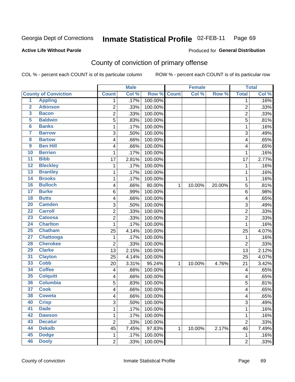### Inmate Statistical Profile 02-FEB-11 Page 69

### **Active Life Without Parole**

### Produced for General Distribution

# County of conviction of primary offense

COL % - percent each COUNT is of its particular column

|                         |                             |                         | <b>Male</b> |         |              | <b>Female</b> |        |                | <b>Total</b> |
|-------------------------|-----------------------------|-------------------------|-------------|---------|--------------|---------------|--------|----------------|--------------|
|                         | <b>County of Conviction</b> | <b>Count</b>            | Col %       | Row %   | <b>Count</b> | Col %         | Row %  | <b>Total</b>   | Col %        |
| 1                       | <b>Appling</b>              | 1                       | .17%        | 100.00% |              |               |        | 1              | .16%         |
| $\overline{2}$          | <b>Atkinson</b>             | $\overline{2}$          | .33%        | 100.00% |              |               |        | $\overline{2}$ | .33%         |
| $\overline{\mathbf{3}}$ | <b>Bacon</b>                | $\overline{c}$          | .33%        | 100.00% |              |               |        | $\overline{2}$ | .33%         |
| 5                       | <b>Baldwin</b>              | $\overline{5}$          | .83%        | 100.00% |              |               |        | 5              | .81%         |
| $6\phantom{a}$          | <b>Banks</b>                | 1                       | .17%        | 100.00% |              |               |        | $\mathbf 1$    | .16%         |
| 7                       | <b>Barrow</b>               | 3                       | .50%        | 100.00% |              |               |        | 3              | .49%         |
| 8                       | <b>Bartow</b>               | 4                       | .66%        | 100.00% |              |               |        | 4              | .65%         |
| 9                       | <b>Ben Hill</b>             | 4                       | .66%        | 100.00% |              |               |        | 4              | .65%         |
| 10                      | <b>Berrien</b>              | 1                       | .17%        | 100.00% |              |               |        | 1              | .16%         |
| $\overline{11}$         | <b>Bibb</b>                 | 17                      | 2.81%       | 100.00% |              |               |        | 17             | 2.77%        |
| 12                      | <b>Bleckley</b>             | 1                       | .17%        | 100.00% |              |               |        | 1              | .16%         |
| 13                      | <b>Brantley</b>             | 1                       | .17%        | 100.00% |              |               |        | 1              | .16%         |
| $\overline{14}$         | <b>Brooks</b>               | 1                       | .17%        | 100.00% |              |               |        | 1              | .16%         |
| 16                      | <b>Bulloch</b>              | $\overline{\mathbf{4}}$ | .66%        | 80.00%  | 1            | 10.00%        | 20.00% | 5              | .81%         |
| $\overline{17}$         | <b>Burke</b>                | $\,6$                   | .99%        | 100.00% |              |               |        | 6              | .98%         |
| 18                      | <b>Butts</b>                | 4                       | .66%        | 100.00% |              |               |        | 4              | .65%         |
| 20                      | <b>Camden</b>               | 3                       | .50%        | 100.00% |              |               |        | 3              | .49%         |
| $\overline{22}$         | <b>Carroll</b>              | $\overline{2}$          | .33%        | 100.00% |              |               |        | $\overline{2}$ | .33%         |
| $\overline{23}$         | <b>Catoosa</b>              | $\overline{c}$          | .33%        | 100.00% |              |               |        | $\overline{c}$ | .33%         |
| 24                      | <b>Charlton</b>             | 1                       | .17%        | 100.00% |              |               |        | 1              | .16%         |
| 25                      | <b>Chatham</b>              | 25                      | 4.14%       | 100.00% |              |               |        | 25             | 4.07%        |
| $\overline{27}$         | <b>Chattooga</b>            | 1                       | .17%        | 100.00% |              |               |        | $\mathbf{1}$   | .16%         |
| 28                      | <b>Cherokee</b>             | $\overline{c}$          | .33%        | 100.00% |              |               |        | $\overline{2}$ | .33%         |
| 29                      | <b>Clarke</b>               | 13                      | 2.15%       | 100.00% |              |               |        | 13             | 2.12%        |
| 31                      | <b>Clayton</b>              | 25                      | 4.14%       | 100.00% |              |               |        | 25             | 4.07%        |
| 33                      | <b>Cobb</b>                 | 20                      | 3.31%       | 95.24%  | 1            | 10.00%        | 4.76%  | 21             | 3.42%        |
| 34                      | <b>Coffee</b>               | 4                       | .66%        | 100.00% |              |               |        | 4              | .65%         |
| 35                      | <b>Colquitt</b>             | $\overline{\mathbf{4}}$ | .66%        | 100.00% |              |               |        | 4              | .65%         |
| 36                      | <b>Columbia</b>             | 5                       | .83%        | 100.00% |              |               |        | 5              | .81%         |
| $\overline{37}$         | <b>Cook</b>                 | 4                       | .66%        | 100.00% |              |               |        | 4              | .65%         |
| 38                      | <b>Coweta</b>               | 4                       | .66%        | 100.00% |              |               |        | 4              | .65%         |
| 40                      | <b>Crisp</b>                | 3                       | .50%        | 100.00% |              |               |        | 3              | .49%         |
| 41                      | <b>Dade</b>                 | 1                       | .17%        | 100.00% |              |               |        | $\mathbf{1}$   | .16%         |
| 42                      | <b>Dawson</b>               | 1                       | .17%        | 100.00% |              |               |        | $\mathbf{1}$   | .16%         |
| 43                      | <b>Decatur</b>              | $\overline{2}$          | .33%        | 100.00% |              |               |        | $\overline{2}$ | .33%         |
| 44                      | <b>Dekalb</b>               | 45                      | 7.45%       | 97.83%  | 1            | 10.00%        | 2.17%  | 46             | 7.49%        |
| 45                      | <b>Dodge</b>                | $\mathbf{1}$            | .17%        | 100.00% |              |               |        | $\mathbf 1$    | .16%         |
| 46                      | <b>Dooly</b>                | $\overline{2}$          | .33%        | 100.00% |              |               |        | $\overline{2}$ | .33%         |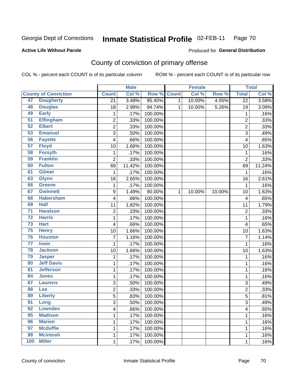### Inmate Statistical Profile 02-FEB-11 Page 70

**Active Life Without Parole** 

Produced for General Distribution

# County of conviction of primary offense

COL % - percent each COUNT is of its particular column

|                 |                             |                  | <b>Male</b> |         |              | <b>Female</b> |        |                 | <b>Total</b> |
|-----------------|-----------------------------|------------------|-------------|---------|--------------|---------------|--------|-----------------|--------------|
|                 | <b>County of Conviction</b> | <b>Count</b>     | Col %       | Row %   | <b>Count</b> | Col %         | Row %  | <b>Total</b>    | Col %        |
| 47              | <b>Dougherty</b>            | 21               | 3.48%       | 95.45%  | 1            | 10.00%        | 4.55%  | $\overline{22}$ | 3.58%        |
| 48              | <b>Douglas</b>              | 18               | 2.98%       | 94.74%  | 1            | 10.00%        | 5.26%  | 19              | 3.09%        |
| 49              | <b>Early</b>                | 1                | .17%        | 100.00% |              |               |        | 1               | .16%         |
| 51              | <b>Effingham</b>            | $\overline{c}$   | .33%        | 100.00% |              |               |        | $\overline{c}$  | .33%         |
| 52              | <b>Elbert</b>               | $\overline{2}$   | .33%        | 100.00% |              |               |        | $\overline{2}$  | .33%         |
| 53              | <b>Emanuel</b>              | 3                | .50%        | 100.00% |              |               |        | 3               | .49%         |
| 56              | <b>Fayette</b>              | 4                | .66%        | 100.00% |              |               |        | 4               | .65%         |
| 57              | <b>Floyd</b>                | 10               | 1.66%       | 100.00% |              |               |        | 10              | 1.63%        |
| 58              | <b>Forsyth</b>              | 1                | .17%        | 100.00% |              |               |        | 1               | .16%         |
| 59              | <b>Franklin</b>             | $\overline{2}$   | .33%        | 100.00% |              |               |        | $\overline{2}$  | .33%         |
| 60              | <b>Fulton</b>               | 69               | 11.42%      | 100.00% |              |               |        | 69              | 11.24%       |
| 61              | <b>Gilmer</b>               | 1                | .17%        | 100.00% |              |               |        | 1               | .16%         |
| 63              | <b>Glynn</b>                | 16               | 2.65%       | 100.00% |              |               |        | 16              | 2.61%        |
| 66              | <b>Greene</b>               | 1                | .17%        | 100.00% |              |               |        | 1               | .16%         |
| 67              | <b>Gwinnett</b>             | $\boldsymbol{9}$ | 1.49%       | 90.00%  | 1            | 10.00%        | 10.00% | 10              | 1.63%        |
| 68              | <b>Habersham</b>            | 4                | .66%        | 100.00% |              |               |        | 4               | .65%         |
| 69              | <b>Hall</b>                 | 11               | 1.82%       | 100.00% |              |               |        | 11              | 1.79%        |
| $\overline{71}$ | <b>Haralson</b>             | $\overline{c}$   | .33%        | 100.00% |              |               |        | 2               | .33%         |
| $\overline{72}$ | <b>Harris</b>               | $\mathbf{1}$     | .17%        | 100.00% |              |               |        | $\mathbf 1$     | .16%         |
| 73              | <b>Hart</b>                 | 4                | .66%        | 100.00% |              |               |        | 4               | .65%         |
| 75              | <b>Henry</b>                | 10               | 1.66%       | 100.00% |              |               |        | 10              | 1.63%        |
| 76              | <b>Houston</b>              | 7                | 1.16%       | 100.00% |              |               |        | $\overline{7}$  | 1.14%        |
| $\overline{77}$ | <b>Irwin</b>                | 1                | .17%        | 100.00% |              |               |        | 1               | .16%         |
| 78              | <b>Jackson</b>              | 10               | 1.66%       | 100.00% |              |               |        | 10              | 1.63%        |
| 79              | <b>Jasper</b>               | 1                | .17%        | 100.00% |              |               |        | 1               | .16%         |
| 80              | <b>Jeff Davis</b>           | 1                | .17%        | 100.00% |              |               |        | 1               | .16%         |
| 81              | <b>Jefferson</b>            | $\mathbf{1}$     | .17%        | 100.00% |              |               |        | $\mathbf{1}$    | .16%         |
| 84              | <b>Jones</b>                | 1                | .17%        | 100.00% |              |               |        | 1               | .16%         |
| 87              | <b>Laurens</b>              | 3                | .50%        | 100.00% |              |               |        | 3               | .49%         |
| 88              | Lee                         | 2                | .33%        | 100.00% |              |               |        | $\overline{c}$  | .33%         |
| 89              | <b>Liberty</b>              | $\overline{5}$   | .83%        | 100.00% |              |               |        | $\overline{5}$  | .81%         |
| 91              | Long                        | 3                | .50%        | 100.00% |              |               |        | 3               | .49%         |
| 92              | <b>Lowndes</b>              | 4                | .66%        | 100.00% |              |               |        | 4               | .65%         |
| 95              | <b>Madison</b>              | 1                | .17%        | 100.00% |              |               |        | 1               | .16%         |
| 96              | <b>Marion</b>               | 1                | .17%        | 100.00% |              |               |        | 1               | .16%         |
| 97              | <b>Mcduffie</b>             | 1                | .17%        | 100.00% |              |               |        | 1               | .16%         |
| 98              | <b>Mcintosh</b>             | 1                | .17%        | 100.00% |              |               |        | 1               | .16%         |
| 100             | <b>Miller</b>               | $\mathbf{1}$     | .17%        | 100.00% |              |               |        | 1               | .16%         |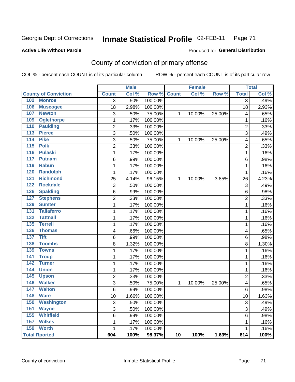### Inmate Statistical Profile 02-FEB-11 Page 71

### **Active Life Without Parole**

## Produced for General Distribution

# County of conviction of primary offense

COL % - percent each COUNT is of its particular column

|                                 |                | <b>Male</b> |         |                 | <b>Female</b> |        |                | <b>Total</b> |
|---------------------------------|----------------|-------------|---------|-----------------|---------------|--------|----------------|--------------|
| <b>County of Conviction</b>     | <b>Count</b>   | Col %       | Row %   | <b>Count</b>    | Col%          | Row %  | <b>Total</b>   | Col %        |
| 102<br><b>Monroe</b>            | 3              | .50%        | 100.00% |                 |               |        | 3              | .49%         |
| 106<br><b>Muscogee</b>          | 18             | 2.98%       | 100.00% |                 |               |        | 18             | 2.93%        |
| 107<br><b>Newton</b>            | 3              | .50%        | 75.00%  | 1               | 10.00%        | 25.00% | 4              | .65%         |
| <b>Oglethorpe</b><br>109        | 1              | .17%        | 100.00% |                 |               |        | 1              | .16%         |
| <b>Paulding</b><br>110          | 2              | .33%        | 100.00% |                 |               |        | $\overline{c}$ | .33%         |
| 113<br><b>Pierce</b>            | 3              | .50%        | 100.00% |                 |               |        | 3              | .49%         |
| <b>Pike</b><br>114              | 3              | .50%        | 75.00%  | $\mathbf{1}$    | 10.00%        | 25.00% | 4              | .65%         |
| <b>Polk</b><br>115              | $\overline{2}$ | .33%        | 100.00% |                 |               |        | $\overline{c}$ | .33%         |
| 116<br><b>Pulaski</b>           | $\mathbf{1}$   | .17%        | 100.00% |                 |               |        | $\mathbf{1}$   | .16%         |
| 117<br>Putnam                   | 6              | .99%        | 100.00% |                 |               |        | 6              | .98%         |
| 119<br><b>Rabun</b>             | $\mathbf{1}$   | .17%        | 100.00% |                 |               |        | 1              | .16%         |
| <b>Randolph</b><br>120          | 1              | .17%        | 100.00% |                 |               |        | $\mathbf{1}$   | .16%         |
| <b>Richmond</b><br>121          | 25             | 4.14%       | 96.15%  | $\mathbf{1}$    | 10.00%        | 3.85%  | 26             | 4.23%        |
| 122<br><b>Rockdale</b>          | 3              | .50%        | 100.00% |                 |               |        | 3              | .49%         |
| 126<br><b>Spalding</b>          | 6              | .99%        | 100.00% |                 |               |        | 6              | .98%         |
| <b>Stephens</b><br>127          | $\overline{c}$ | .33%        | 100.00% |                 |               |        | $\overline{c}$ | .33%         |
| <b>Sumter</b><br>129            | $\mathbf{1}$   | .17%        | 100.00% |                 |               |        | $\mathbf{1}$   | .16%         |
| <b>Taliaferro</b><br>131        | 1              | .17%        | 100.00% |                 |               |        | 1              | .16%         |
| 132<br><b>Tattnall</b>          | 1              | .17%        | 100.00% |                 |               |        | 1              | .16%         |
| <b>Terrell</b><br>135           | 1              | .17%        | 100.00% |                 |               |        | 1              | .16%         |
| 136<br><b>Thomas</b>            | 4              | .66%        | 100.00% |                 |               |        | 4              | .65%         |
| $\overline{137}$<br><b>Tift</b> | 6              | .99%        | 100.00% |                 |               |        | 6              | .98%         |
| <b>Toombs</b><br>138            | 8              | 1.32%       | 100.00% |                 |               |        | 8              | 1.30%        |
| <b>Towns</b><br>139             | 1              | .17%        | 100.00% |                 |               |        | $\mathbf{1}$   | .16%         |
| 141<br><b>Troup</b>             | $\mathbf{1}$   | .17%        | 100.00% |                 |               |        | 1              | .16%         |
| 142<br><b>Turner</b>            | 1              | .17%        | 100.00% |                 |               |        | 1              | .16%         |
| <b>Union</b><br>144             | 1              | .17%        | 100.00% |                 |               |        | 1              | .16%         |
| 145<br><b>Upson</b>             | $\overline{c}$ | .33%        | 100.00% |                 |               |        | $\overline{c}$ | .33%         |
| <b>Walker</b><br>146            | 3              | .50%        | 75.00%  | $\mathbf{1}$    | 10.00%        | 25.00% | 4              | .65%         |
| 147<br><b>Walton</b>            | 6              | .99%        | 100.00% |                 |               |        | 6              | .98%         |
| 148<br><b>Ware</b>              | 10             | 1.66%       | 100.00% |                 |               |        | 10             | 1.63%        |
| <b>Washington</b><br>150        | 3              | .50%        | 100.00% |                 |               |        | 3              | .49%         |
| 151<br><b>Wayne</b>             | 3              | .50%        | 100.00% |                 |               |        | 3              | .49%         |
| <b>Whitfield</b><br>155         | 6              | .99%        | 100.00% |                 |               |        | 6              | .98%         |
| <b>Wilkes</b><br>157            | 1              | .17%        | 100.00% |                 |               |        | 1              | .16%         |
| 159<br><b>Worth</b>             | 1              | .17%        | 100.00% |                 |               |        | 1              | .16%         |
| <b>Total Rported</b>            | 604            | 100%        | 98.37%  | $\overline{10}$ | 100%          | 1.63%  | 614            | 100%         |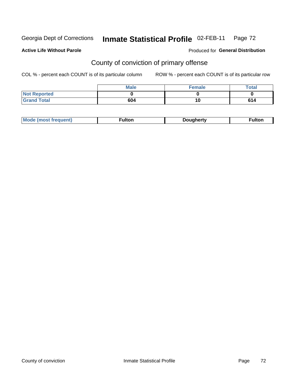### Inmate Statistical Profile 02-FEB-11 Page 72

### **Active Life Without Parole**

### Produced for General Distribution

# County of conviction of primary offense

COL % - percent each COUNT is of its particular column

|                     | <b>Male</b> | <b>Female</b> | <b>Total</b> |
|---------------------|-------------|---------------|--------------|
| <b>Not Reported</b> |             |               |              |
| <b>Grand Total</b>  | 604         | 10            | 614          |

|  | <b>Mode</b><br><b>rauent</b><br>mosr | ⊺ulton | <i>D</i> ouahertv | <b>ultor</b> |
|--|--------------------------------------|--------|-------------------|--------------|
|--|--------------------------------------|--------|-------------------|--------------|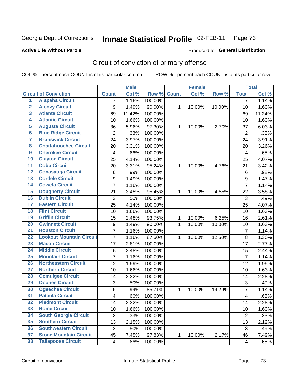Georgia Dept of Corrections

### Inmate Statistical Profile 02-FEB-11 Page 73

### **Active Life Without Parole**

### Produced for General Distribution

# Circuit of conviction of primary offense

COL % - percent each COUNT is of its particular column

|                         |                                 |                         | <b>Male</b> |             |              | <b>Female</b> |        |                         | <b>Total</b> |
|-------------------------|---------------------------------|-------------------------|-------------|-------------|--------------|---------------|--------|-------------------------|--------------|
|                         | <b>Circuit of Conviction</b>    | <b>Count</b>            | Col %       | Row % Count |              | Col %         | Row %  | <b>Total</b>            | Col %        |
| $\overline{1}$          | <b>Alapaha Circuit</b>          | 7                       | 1.16%       | 100.00%     |              |               |        | $\overline{7}$          | 1.14%        |
| $\overline{2}$          | <b>Alcovy Circuit</b>           | $\boldsymbol{9}$        | 1.49%       | 90.00%      | $\mathbf{1}$ | 10.00%        | 10.00% | 10                      | 1.63%        |
| $\overline{\mathbf{3}}$ | <b>Atlanta Circuit</b>          | 69                      | 11.42%      | 100.00%     |              |               |        | 69                      | 11.24%       |
| 4                       | <b>Atlantic Circuit</b>         | 10                      | 1.66%       | 100.00%     |              |               |        | 10                      | 1.63%        |
| 5                       | <b>Augusta Circuit</b>          | 36                      | 5.96%       | 97.30%      | 1            | 10.00%        | 2.70%  | 37                      | 6.03%        |
| $6\phantom{a}$          | <b>Blue Ridge Circuit</b>       | $\overline{2}$          | .33%        | 100.00%     |              |               |        | $\overline{2}$          | .33%         |
| 7                       | <b>Brunswick Circuit</b>        | 24                      | 3.97%       | 100.00%     |              |               |        | 24                      | 3.91%        |
| 8                       | <b>Chattahoochee Circuit</b>    | 20                      | 3.31%       | 100.00%     |              |               |        | 20                      | 3.26%        |
| $\overline{9}$          | <b>Cherokee Circuit</b>         | $\overline{4}$          | .66%        | 100.00%     |              |               |        | $\overline{4}$          | .65%         |
| 10                      | <b>Clayton Circuit</b>          | 25                      | 4.14%       | 100.00%     |              |               |        | 25                      | 4.07%        |
| $\overline{11}$         | <b>Cobb Circuit</b>             | 20                      | 3.31%       | 95.24%      | 1            | 10.00%        | 4.76%  | 21                      | 3.42%        |
| 12                      | <b>Conasauga Circuit</b>        | 6                       | .99%        | 100.00%     |              |               |        | $\,6$                   | .98%         |
| 13                      | <b>Cordele Circuit</b>          | 9                       | 1.49%       | 100.00%     |              |               |        | 9                       | 1.47%        |
| 14                      | <b>Coweta Circuit</b>           | $\overline{7}$          | 1.16%       | 100.00%     |              |               |        | $\overline{7}$          | 1.14%        |
| 15                      | <b>Dougherty Circuit</b>        | 21                      | 3.48%       | 95.45%      | 1            | 10.00%        | 4.55%  | 22                      | 3.58%        |
| 16                      | <b>Dublin Circuit</b>           | 3                       | .50%        | 100.00%     |              |               |        | $\mathbf{3}$            | .49%         |
| 17                      | <b>Eastern Circuit</b>          | 25                      | 4.14%       | 100.00%     |              |               |        | 25                      | 4.07%        |
| 18                      | <b>Flint Circuit</b>            | 10                      | 1.66%       | 100.00%     |              |               |        | 10                      | 1.63%        |
| 19                      | <b>Griffin Circuit</b>          | 15                      | 2.48%       | 93.75%      | $\mathbf{1}$ | 10.00%        | 6.25%  | 16                      | 2.61%        |
| 20                      | <b>Gwinnett Circuit</b>         | 9                       | 1.49%       | 90.00%      | 1            | 10.00%        | 10.00% | 10                      | 1.63%        |
| $\overline{21}$         | <b>Houston Circuit</b>          | $\overline{7}$          | 1.16%       | 100.00%     |              |               |        | $\overline{7}$          | 1.14%        |
| $\overline{22}$         | <b>Lookout Mountain Circuit</b> | $\overline{7}$          | 1.16%       | 87.50%      | 1            | 10.00%        | 12.50% | 8                       | 1.30%        |
| 23                      | <b>Macon Circuit</b>            | 17                      | 2.81%       | 100.00%     |              |               |        | 17                      | 2.77%        |
| $\overline{24}$         | <b>Middle Circuit</b>           | 15                      | 2.48%       | 100.00%     |              |               |        | 15                      | 2.44%        |
| $\overline{25}$         | <b>Mountain Circuit</b>         | $\overline{7}$          | 1.16%       | 100.00%     |              |               |        | $\overline{7}$          | 1.14%        |
| 26                      | <b>Northeastern Circuit</b>     | 12                      | 1.99%       | 100.00%     |              |               |        | 12                      | 1.95%        |
| $\overline{27}$         | <b>Northern Circuit</b>         | 10                      | 1.66%       | 100.00%     |              |               |        | 10                      | 1.63%        |
| 28                      | <b>Ocmulgee Circuit</b>         | 14                      | 2.32%       | 100.00%     |              |               |        | 14                      | 2.28%        |
| 29                      | <b>Oconee Circuit</b>           | 3                       | .50%        | 100.00%     |              |               |        | 3                       | .49%         |
| 30                      | <b>Ogeechee Circuit</b>         | 6                       | .99%        | 85.71%      | 1            | 10.00%        | 14.29% | 7                       | 1.14%        |
| $\overline{31}$         | <b>Pataula Circuit</b>          | $\overline{\mathbf{4}}$ | .66%        | 100.00%     |              |               |        | 4                       | .65%         |
| 32                      | <b>Piedmont Circuit</b>         | 14                      | 2.32%       | 100.00%     |              |               |        | 14                      | 2.28%        |
| 33                      | <b>Rome Circuit</b>             | 10 <sup>1</sup>         | 1.66%       | 100.00%     |              |               |        | 10                      | 1.63%        |
| 34                      | <b>South Georgia Circuit</b>    | $\overline{2}$          | .33%        | 100.00%     |              |               |        | $\overline{2}$          | .33%         |
| 35                      | <b>Southern Circuit</b>         | 13                      | 2.15%       | 100.00%     |              |               |        | 13                      | 2.12%        |
| 36                      | <b>Southwestern Circuit</b>     | 3                       | .50%        | 100.00%     |              |               |        | 3                       | .49%         |
| 37                      | <b>Stone Mountain Circuit</b>   | 45                      | 7.45%       | 97.83%      | 1            | 10.00%        | 2.17%  | 46                      | 7.49%        |
| 38                      | <b>Tallapoosa Circuit</b>       | 4                       | .66%        | 100.00%     |              |               |        | $\overline{\mathbf{4}}$ | .65%         |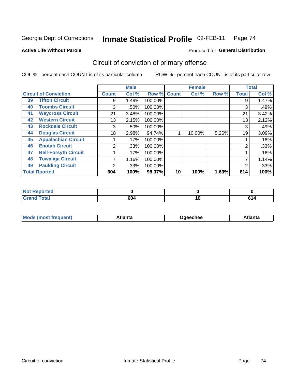Georgia Dept of Corrections

### Inmate Statistical Profile 02-FEB-11 Page 74

**Active Life Without Parole** 

### Produced for General Distribution

# Circuit of conviction of primary offense

COL % - percent each COUNT is of its particular column

|                              |                             |              | <b>Male</b> |         |              | <b>Female</b> |       |              | <b>Total</b> |
|------------------------------|-----------------------------|--------------|-------------|---------|--------------|---------------|-------|--------------|--------------|
| <b>Circuit of Conviction</b> |                             | <b>Count</b> | Col %       | Row %   | <b>Count</b> | Col %         | Row % | <b>Total</b> | Col %        |
| 39                           | <b>Tifton Circuit</b>       | 9            | 1.49%       | 100.00% |              |               |       | 9            | 1.47%        |
| 40                           | <b>Toombs Circuit</b>       | 3            | .50%        | 100.00% |              |               |       | 3            | .49%         |
| 41                           | <b>Waycross Circuit</b>     | 21           | 3.48%       | 100.00% |              |               |       | 21           | 3.42%        |
| 42                           | <b>Western Circuit</b>      | 13           | 2.15%       | 100.00% |              |               |       | 13           | 2.12%        |
| 43                           | <b>Rockdale Circuit</b>     | 3            | .50%        | 100.00% |              |               |       | 3            | .49%         |
| 44                           | <b>Douglas Circuit</b>      | 18           | 2.98%       | 94.74%  |              | 10.00%        | 5.26% | 19           | 3.09%        |
| 45                           | <b>Appalachian Circuit</b>  |              | .17%        | 100.00% |              |               |       |              | .16%         |
| 46                           | <b>Enotah Circuit</b>       | 2            | .33%        | 100.00% |              |               |       | 2            | .33%         |
| 47                           | <b>Bell-Forsyth Circuit</b> |              | .17%        | 100.00% |              |               |       |              | .16%         |
| 48                           | <b>Towaliga Circuit</b>     |              | 1.16%       | 100.00% |              |               |       |              | 1.14%        |
| 49                           | <b>Paulding Circuit</b>     | ◠            | .33%        | 100.00% |              |               |       | 2            | .33%         |
|                              | <b>Total Rported</b>        | 604          | 100%        | 98.37%  | 10           | 100%          | 1.63% | 614          | 100%         |

| <b>rted</b><br>N |             |     |  |
|------------------|-------------|-----|--|
| `ota.<br>-       | 604<br>$ -$ | . . |  |

| Mc<br>tlanta<br>\tlanta<br>echee: |
|-----------------------------------|
|-----------------------------------|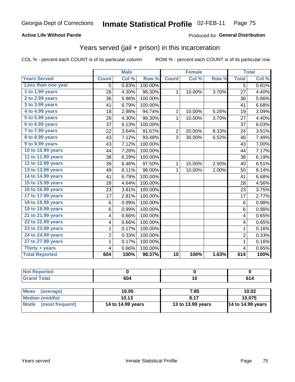## **Active Life Without Parole**

## Produced for General Distribution

# Years served (jail + prison) in this incarceration

COL % - percent each COUNT is of its particular column

|                       |                | <b>Male</b> |         |                | <b>Female</b> |       |                         | <b>Total</b> |
|-----------------------|----------------|-------------|---------|----------------|---------------|-------|-------------------------|--------------|
| <b>Years Served</b>   | <b>Count</b>   | Col %       | Row %   | <b>Count</b>   | Col %         | Row % | <b>Total</b>            | Col %        |
| Less than one year    | $\overline{5}$ | 0.83%       | 100.00% |                |               |       | $\overline{5}$          | 0.81%        |
| 1 to 1.99 years       | 26             | 4.30%       | 96.30%  | $\mathbf{1}$   | 10.00%        | 3.70% | 27                      | 4.40%        |
| 2 to 2.99 years       | 36             | 5.96%       | 100.00% |                |               |       | 36                      | 5.86%        |
| 3 to 3.99 years       | 41             | 6.79%       | 100.00% |                |               |       | 41                      | 6.68%        |
| 4 to 4.99 years       | 18             | 2.98%       | 94.74%  | $\mathbf{1}$   | 10.00%        | 5.26% | 19                      | 3.09%        |
| 5 to 5.99 years       | 26             | 4.30%       | 96.30%  | $\mathbf{1}$   | 10.00%        | 3.70% | 27                      | 4.40%        |
| 6 to 6.99 years       | 37             | 6.13%       | 100.00% |                |               |       | 37                      | 6.03%        |
| 7 to 7.99 years       | 22             | 3.64%       | 91.67%  | $\overline{2}$ | 20.00%        | 8.33% | 24                      | 3.91%        |
| 8 to 8.99 years       | 43             | 7.12%       | 93.48%  | 3              | 30.00%        | 6.52% | 46                      | 7.49%        |
| 9 to 9.99 years       | 43             | 7.12%       | 100.00% |                |               |       | 43                      | 7.00%        |
| 10 to 10.99 years     | 44             | 7.28%       | 100.00% |                |               |       | 44                      | 7.17%        |
| 11 to 11.99 years     | 38             | 6.29%       | 100.00% |                |               |       | 38                      | 6.19%        |
| 12 to 12.99 years     | 39             | 6.46%       | 97.50%  | 1              | 10.00%        | 2.50% | 40                      | 6.51%        |
| 13 to 13.99 years     | 49             | 8.11%       | 98.00%  | $\mathbf{1}$   | 10.00%        | 2.00% | 50                      | 8.14%        |
| 14 to 14.99 years     | 41             | 6.79%       | 100.00% |                |               |       | 41                      | 6.68%        |
| 15 to 15.99 years     | 28             | 4.64%       | 100.00% |                |               |       | 28                      | 4.56%        |
| 16 to 16.99 years     | 23             | 3.81%       | 100.00% |                |               |       | 23                      | 3.75%        |
| 17 to 17.99 years     | 17             | 2.81%       | 100.00% |                |               |       | 17                      | 2.77%        |
| 18 to 18.99 years     | 6              | 0.99%       | 100.00% |                |               |       | 6                       | 0.98%        |
| 19 to 19.99 years     | 6              | 0.99%       | 100.00% |                |               |       | 6                       | 0.98%        |
| 21 to 21.99 years     | 4              | 0.66%       | 100.00% |                |               |       | 4                       | 0.65%        |
| 22 to 22.99 years     | 4              | 0.66%       | 100.00% |                |               |       | 4                       | 0.65%        |
| 23 to 23.99 years     | 1              | 0.17%       | 100.00% |                |               |       | $\overline{1}$          | 0.16%        |
| 24 to 24.99 years     | 2              | 0.33%       | 100.00% |                |               |       | $\overline{2}$          | 0.33%        |
| 27 to 27.99 years     | 1              | 0.17%       | 100.00% |                |               |       | $\mathbf{1}$            | 0.16%        |
| Thirty + years        | 4              | 0.66%       | 100.00% |                |               |       | $\overline{\mathbf{4}}$ | 0.65%        |
| <b>Total Reported</b> | 604            | 100%        | 98.37%  | 10             | 100%          | 1.63% | 614                     | 100%         |

| <b>Not Reported</b>            |                   |                   |                          |
|--------------------------------|-------------------|-------------------|--------------------------|
| <b>Grand Total</b>             | 604               |                   | 614                      |
|                                |                   |                   |                          |
| <b>Mean</b><br>(average)       | 10.05             | 7.85              | 10.02                    |
| <b>Median (middle)</b>         | 10.13             | 8.17              | 10.075                   |
| <b>Mode</b><br>(most frequent) | 14 to 14.99 years | 13 to 13.99 years | <b>14 to 14.99 years</b> |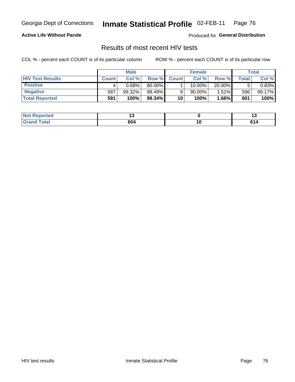Georgia Dept of Corrections

#### Inmate Statistical Profile 02-FEB-11 Page 76

## **Active Life Without Parole**

Produced for General Distribution

## Results of most recent HIV tests

COL % - percent each COUNT is of its particular column

|                         |              | <b>Male</b> |        |              | <b>Female</b> |          |               | Total  |
|-------------------------|--------------|-------------|--------|--------------|---------------|----------|---------------|--------|
| <b>HIV Test Results</b> | <b>Count</b> | Col%        | Row %I | <b>Count</b> | Col %         | Row %    | $\tau$ otal i | Col %  |
| <b>Positive</b>         |              | 0.68%       | 80.00% |              | 10.00%        | 20.00%   |               | 0.83%  |
| <b>Negative</b>         | 587          | 99.32%      | 98.49% |              | $90.00\%$     | $1.51\%$ | 596           | 99.17% |
| <b>Total Reported</b>   | 591          | 100%        | 98.34% | 10           | 100%          | $1.66\%$ | 601           | 100%   |

| <b>Not Reported</b> |     |    |
|---------------------|-----|----|
| <b>Total</b>        | 604 | c. |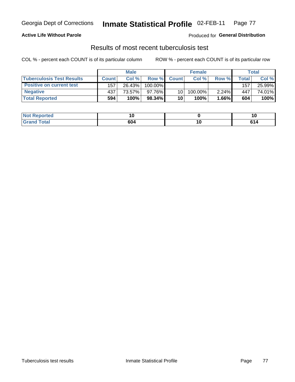#### Inmate Statistical Profile 02-FEB-11 Page 77

## **Active Life Without Parole**

Produced for General Distribution

## Results of most recent tuberculosis test

COL % - percent each COUNT is of its particular column

|                                  |              | <b>Male</b> |         |              | <b>Female</b> |          |       | Total  |
|----------------------------------|--------------|-------------|---------|--------------|---------------|----------|-------|--------|
| <b>Tuberculosis Test Results</b> | <b>Count</b> | Col%        | Row %I  | <b>Count</b> | Col %         | Row %    | Total | Col %  |
| <b>Positive on current test</b>  | 157          | 26.43%      | 100.00% |              |               |          | 157   | 25.99% |
| <b>Negative</b>                  | 437          | 73.57%      | 97.76%  | 10           | 100.00%       | $2.24\%$ | 447   | 74.01% |
| <b>Total Reported</b>            | 594          | 100%        | 98.34%  | 10           | 100%          | 1.66%    | 604   | 100%   |

| Reported<br><b>NOT</b> | ιu  |               | 10                            |
|------------------------|-----|---------------|-------------------------------|
| <b>otal</b>            | 604 | . u<br>$\sim$ | e A<br>0 I 4<br>$\sim$ $\sim$ |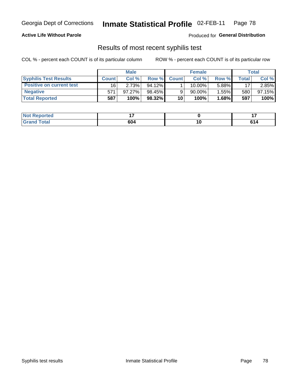#### Inmate Statistical Profile 02-FEB-11 Page 78

## **Active Life Without Parole**

Produced for General Distribution

## Results of most recent syphilis test

COL % - percent each COUNT is of its particular column

|                                 |              | <b>Male</b> |           |              | <b>Female</b> |        |             | Total  |
|---------------------------------|--------------|-------------|-----------|--------------|---------------|--------|-------------|--------|
| <b>Syphilis Test Results</b>    | <b>Count</b> | Col%        | Row %     | <b>Count</b> | Col %         | Row %I | $\tau$ otal | Col %  |
| <b>Positive on current test</b> | 16           | 2.73%       | $94.12\%$ |              | 10.00%        | 5.88%  | 17          | 2.85%  |
| <b>Negative</b>                 | 571          | 97.27%      | 98.45%    |              | 90.00%        | 1.55%  | 580         | 97.15% |
| <b>Total Reported</b>           | 587          | 100%        | 98.32%    | 10           | 100%          | 1.68%  | 597         | 100%   |

| <b>Not Reported</b> |     |        |                                                                 |
|---------------------|-----|--------|-----------------------------------------------------------------|
| <b>Grand Total</b>  | 604 | $\sim$ | cа<br>U I 4<br>$\sim$ $\sim$ $\sim$ $\sim$ $\sim$ $\sim$ $\sim$ |